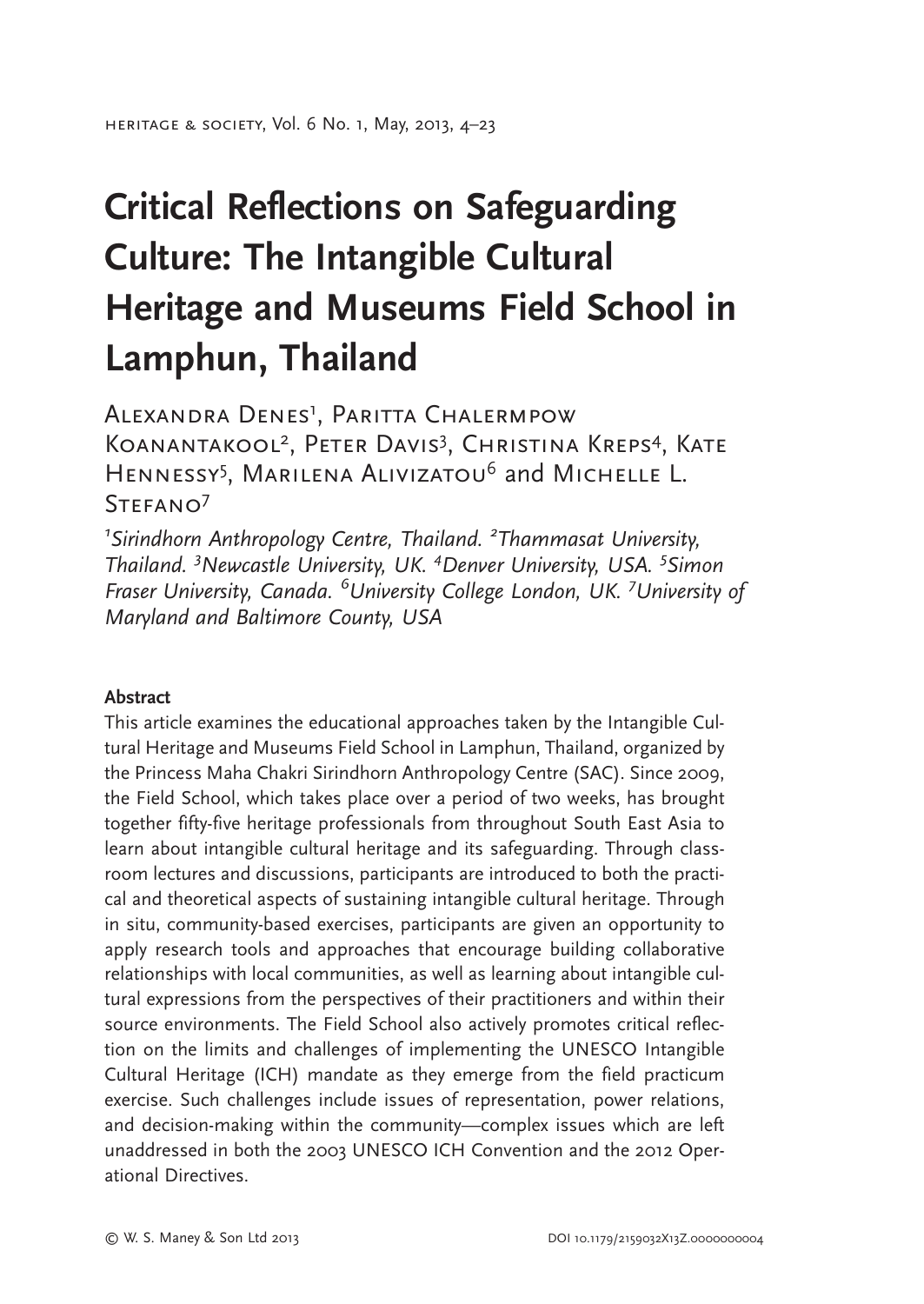# Critical Reflections on Safeguarding Culture: The Intangible Cultural Heritage and Museums Field School in Lamphun, Thailand

Alexandra Denes<sup>1</sup>, Paritta Chalermpow KOANANTAKOOL<sup>2</sup>, Peter Davis<sup>3</sup>, Christina Kreps<sup>4</sup>, Kate HENNESSY<sup>5</sup>, MARILENA ALIVIZATOU<sup>6</sup> and MICHELLE L.  $STFFANO<sup>7</sup>$ 

 $1$ Sirindhorn Anthropology Centre, Thailand.  $2$ Thammasat University, Thailand. <sup>3</sup>Newcastle University, UK. <sup>4</sup>Denver University, USA. <sup>5</sup>Simon Fraser University, Canada. <sup>6</sup>University College London, UK. <sup>7</sup>University of Maryland and Baltimore County, USA

#### Abstract

This article examines the educational approaches taken by the Intangible Cultural Heritage and Museums Field School in Lamphun, Thailand, organized by the Princess Maha Chakri Sirindhorn Anthropology Centre (SAC). Since 2009, the Field School, which takes place over a period of two weeks, has brought together fifty-five heritage professionals from throughout South East Asia to learn about intangible cultural heritage and its safeguarding. Through classroom lectures and discussions, participants are introduced to both the practical and theoretical aspects of sustaining intangible cultural heritage. Through in situ, community-based exercises, participants are given an opportunity to apply research tools and approaches that encourage building collaborative relationships with local communities, as well as learning about intangible cultural expressions from the perspectives of their practitioners and within their source environments. The Field School also actively promotes critical reflection on the limits and challenges of implementing the UNESCO Intangible Cultural Heritage (ICH) mandate as they emerge from the field practicum exercise. Such challenges include issues of representation, power relations, and decision-making within the community—complex issues which are left unaddressed in both the 2003 UNESCO ICH Convention and the 2012 Operational Directives.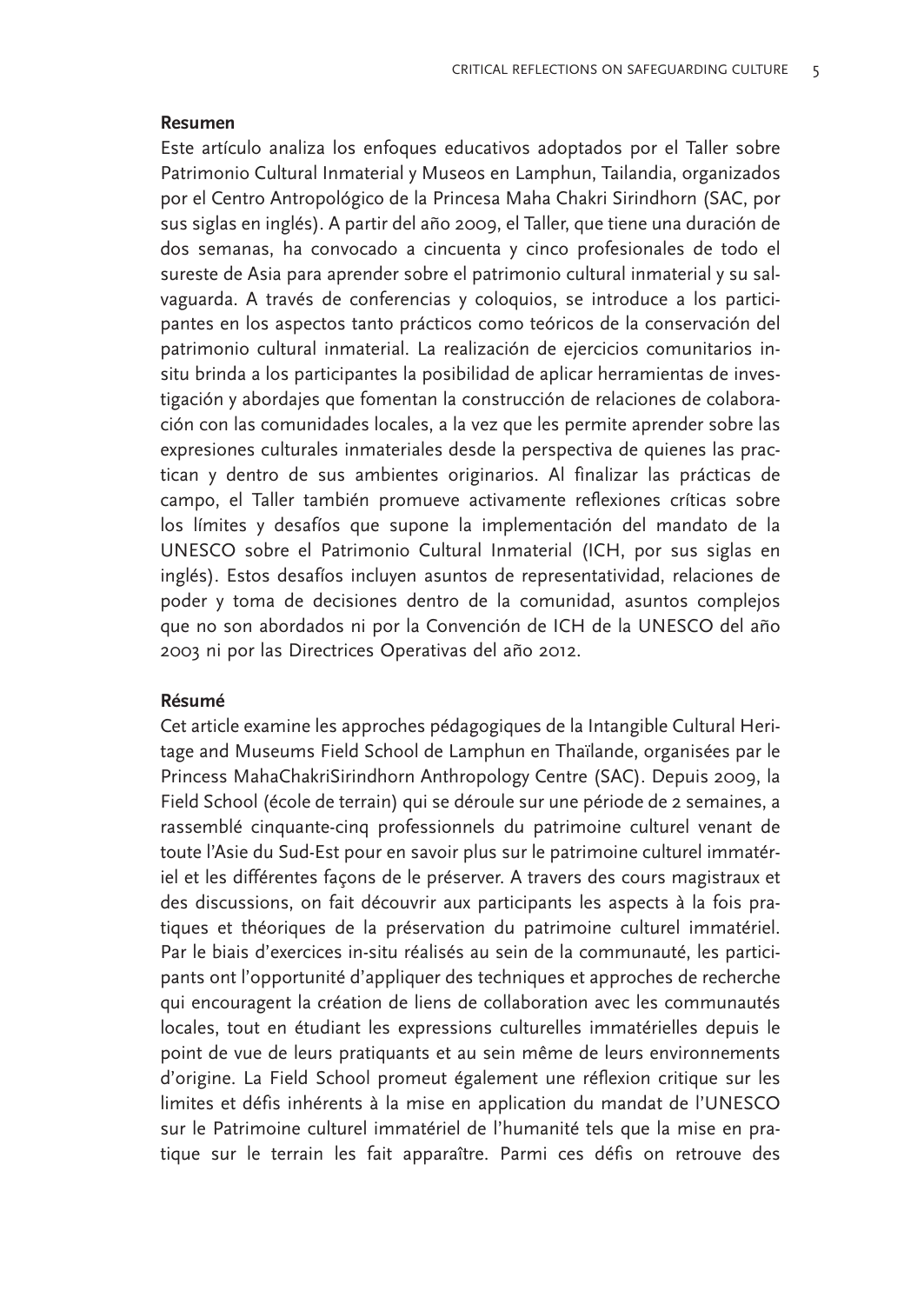#### Resumen

Este artículo analiza los enfoques educativos adoptados por el Taller sobre Patrimonio Cultural Inmaterial y Museos en Lamphun, Tailandia, organizados por el Centro Antropológico de la Princesa Maha Chakri Sirindhorn (SAC, por sus siglas en inglés). A partir del año 2009, el Taller, que tiene una duración de dos semanas, ha convocado a cincuenta y cinco profesionales de todo el sureste de Asia para aprender sobre el patrimonio cultural inmaterial y su salvaguarda. A través de conferencias y coloquios, se introduce a los participantes en los aspectos tanto prácticos como teóricos de la conservación del patrimonio cultural inmaterial. La realización de ejercicios comunitarios insitu brinda a los participantes la posibilidad de aplicar herramientas de investigación y abordajes que fomentan la construcción de relaciones de colaboración con las comunidades locales, a la vez que les permite aprender sobre las expresiones culturales inmateriales desde la perspectiva de quienes las practican y dentro de sus ambientes originarios. Al finalizar las prácticas de campo, el Taller también promueve activamente reflexiones críticas sobre los límites y desafíos que supone la implementación del mandato de la UNESCO sobre el Patrimonio Cultural Inmaterial (ICH, por sus siglas en inglés). Estos desafíos incluyen asuntos de representatividad, relaciones de poder y toma de decisiones dentro de la comunidad, asuntos complejos que no son abordados ni por la Convención de ICH de la UNESCO del año 2003 ni por las Directrices Operativas del año 2012.

#### Résumé

Cet article examine les approches pédagogiques de la Intangible Cultural Heritage and Museums Field School de Lamphun en Thaïlande, organisées par le Princess MahaChakriSirindhorn Anthropology Centre (SAC). Depuis 2009, la Field School (école de terrain) qui se déroule sur une période de 2 semaines, a rassemblé cinquante-cinq professionnels du patrimoine culturel venant de toute l'Asie du Sud-Est pour en savoir plus sur le patrimoine culturel immatériel et les différentes façons de le préserver. A travers des cours magistraux et des discussions, on fait découvrir aux participants les aspects à la fois pratiques et théoriques de la préservation du patrimoine culturel immatériel. Par le biais d'exercices in-situ réalisés au sein de la communauté, les participants ont l'opportunité d'appliquer des techniques et approches de recherche qui encouragent la création de liens de collaboration avec les communautés locales, tout en étudiant les expressions culturelles immatérielles depuis le point de vue de leurs pratiquants et au sein même de leurs environnements d'origine. La Field School promeut également une réflexion critique sur les limites et défis inhérents à la mise en application du mandat de l'UNESCO sur le Patrimoine culturel immatériel de l'humanité tels que la mise en pratique sur le terrain les fait apparaître. Parmi ces défis on retrouve des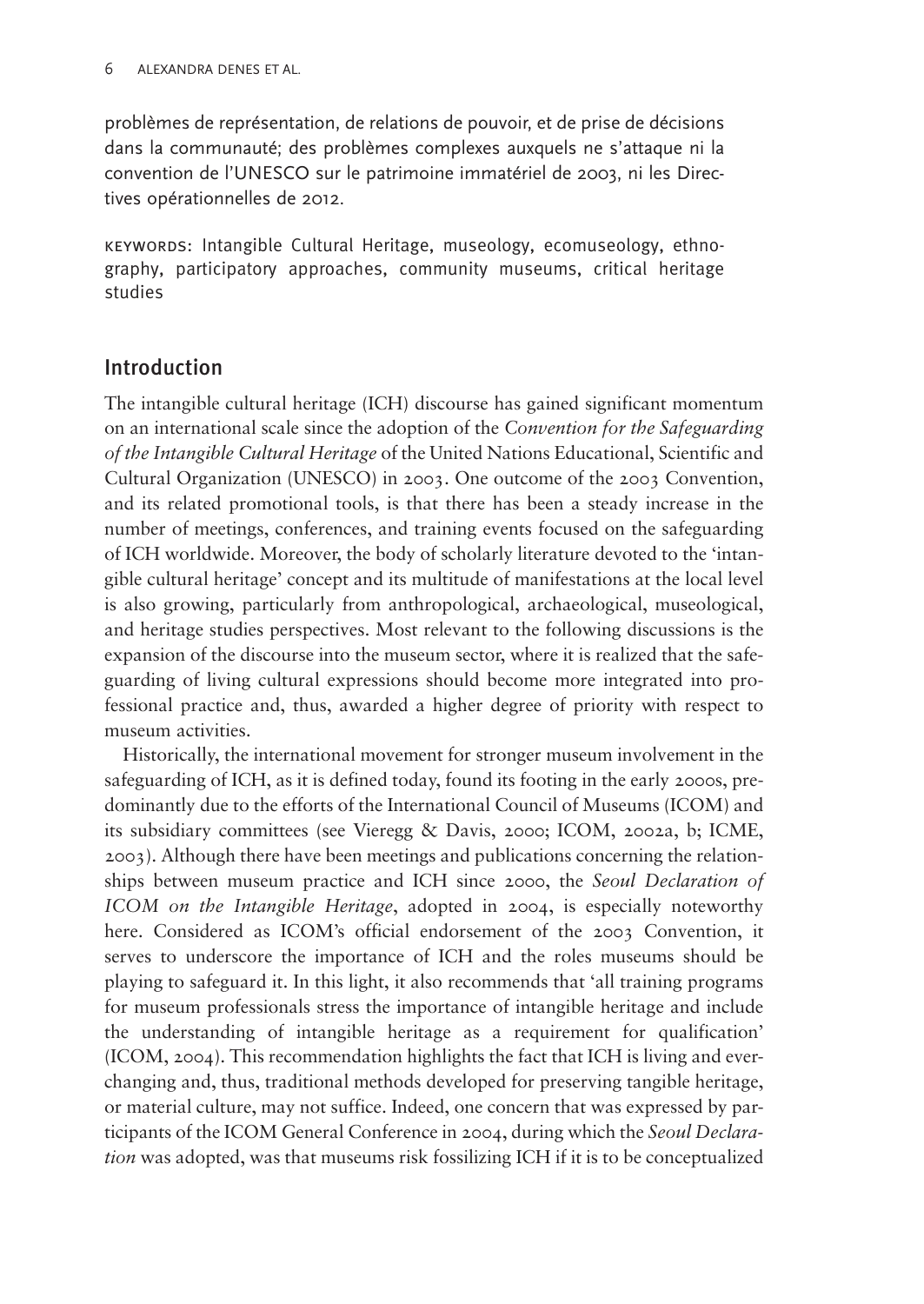problèmes de représentation, de relations de pouvoir, et de prise de décisions dans la communauté; des problèmes complexes auxquels ne s'attaque ni la convention de l'UNESCO sur le patrimoine immatériel de 2003, ni les Directives opérationnelles de 2012.

keywords: Intangible Cultural Heritage, museology, ecomuseology, ethnography, participatory approaches, community museums, critical heritage studies

# Introduction

The intangible cultural heritage (ICH) discourse has gained significant momentum on an international scale since the adoption of the Convention for the Safeguarding of the Intangible Cultural Heritage of the United Nations Educational, Scientific and Cultural Organization (UNESCO) in 2003. One outcome of the 2003 Convention, and its related promotional tools, is that there has been a steady increase in the number of meetings, conferences, and training events focused on the safeguarding of ICH worldwide. Moreover, the body of scholarly literature devoted to the 'intangible cultural heritage' concept and its multitude of manifestations at the local level is also growing, particularly from anthropological, archaeological, museological, and heritage studies perspectives. Most relevant to the following discussions is the expansion of the discourse into the museum sector, where it is realized that the safeguarding of living cultural expressions should become more integrated into professional practice and, thus, awarded a higher degree of priority with respect to museum activities.

Historically, the international movement for stronger museum involvement in the safeguarding of ICH, as it is defined today, found its footing in the early 2000s, predominantly due to the efforts of the International Council of Museums (ICOM) and its subsidiary committees (see [Vieregg & Davis, 2000;](#page-18-0) [ICOM, 2002a, b](#page-17-0); [ICME,](#page-17-0) [2003](#page-17-0)). Although there have been meetings and publications concerning the relationships between museum practice and ICH since 2000, the Seoul Declaration of ICOM on the Intangible Heritage, adopted in 2004, is especially noteworthy here. Considered as ICOM's official endorsement of the 2003 Convention, it serves to underscore the importance of ICH and the roles museums should be playing to safeguard it. In this light, it also recommends that 'all training programs for museum professionals stress the importance of intangible heritage and include the understanding of intangible heritage as a requirement for qualification' [\(ICOM, 2004](#page-17-0)). This recommendation highlights the fact that ICH is living and everchanging and, thus, traditional methods developed for preserving tangible heritage, or material culture, may not suffice. Indeed, one concern that was expressed by participants of the ICOM General Conference in 2004, during which the Seoul Declaration was adopted, was that museums risk fossilizing ICH if it is to be conceptualized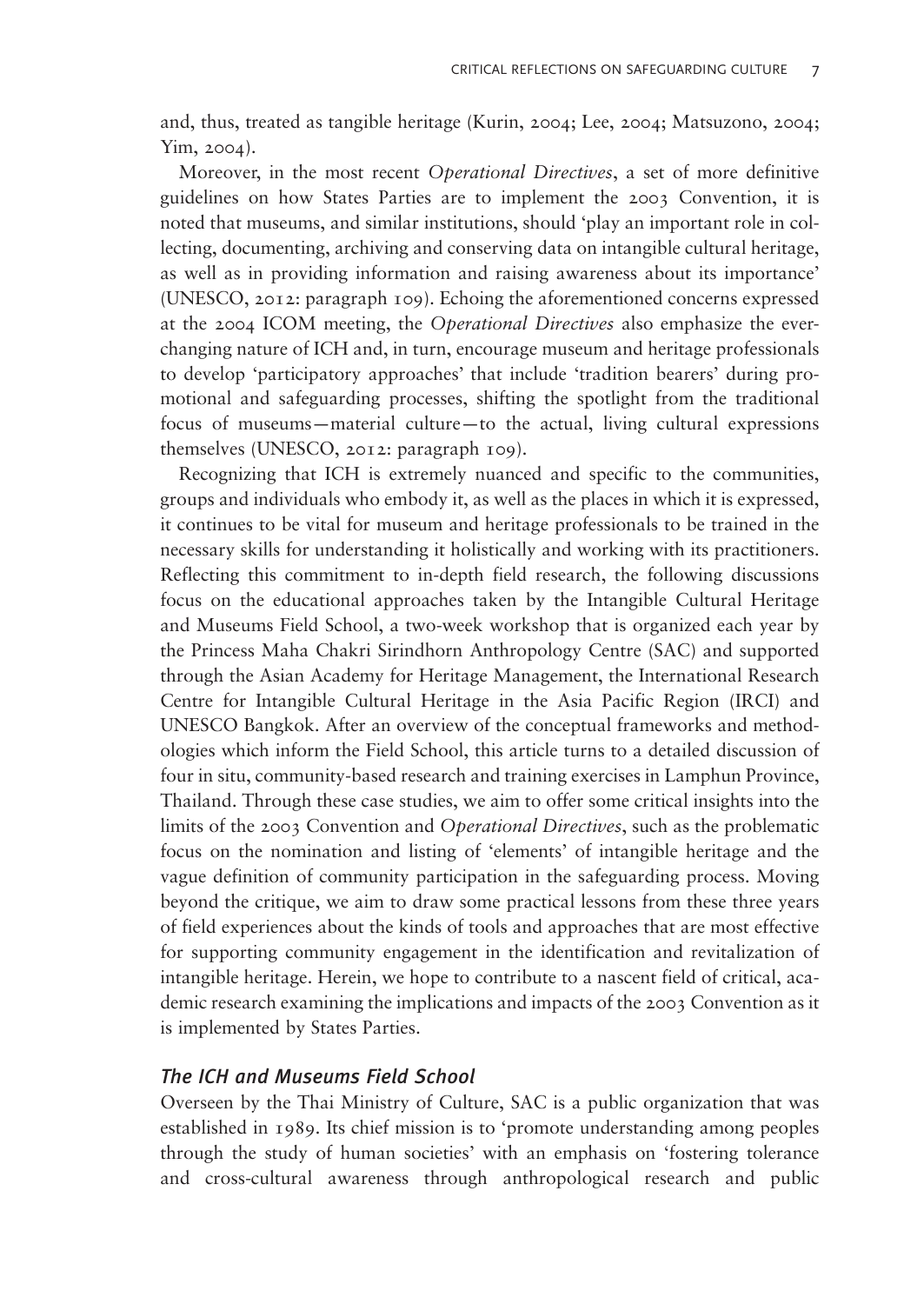and, thus, treated as tangible heritage ([Kurin, 2004; Lee, 2004](#page-18-0); [Matsuzono, 2004](#page-18-0); [Yim, 2004\)](#page-18-0).

Moreover, in the most recent Operational Directives, a set of more definitive guidelines on how States Parties are to implement the 2003 Convention, it is noted that museums, and similar institutions, should 'play an important role in collecting, documenting, archiving and conserving data on intangible cultural heritage, as well as in providing information and raising awareness about its importance' [\(UNESCO, 2012:](#page-18-0) paragraph 109). Echoing the aforementioned concerns expressed at the 2004 ICOM meeting, the Operational Directives also emphasize the everchanging nature of ICH and, in turn, encourage museum and heritage professionals to develop 'participatory approaches' that include 'tradition bearers' during promotional and safeguarding processes, shifting the spotlight from the traditional focus of museums—material culture—to the actual, living cultural expressions themselves ([UNESCO, 2012:](#page-18-0) paragraph 109).

Recognizing that ICH is extremely nuanced and specific to the communities, groups and individuals who embody it, as well as the places in which it is expressed, it continues to be vital for museum and heritage professionals to be trained in the necessary skills for understanding it holistically and working with its practitioners. Reflecting this commitment to in-depth field research, the following discussions focus on the educational approaches taken by the Intangible Cultural Heritage and Museums Field School, a two-week workshop that is organized each year by the Princess Maha Chakri Sirindhorn Anthropology Centre (SAC) and supported through the Asian Academy for Heritage Management, the International Research Centre for Intangible Cultural Heritage in the Asia Pacific Region (IRCI) and UNESCO Bangkok. After an overview of the conceptual frameworks and methodologies which inform the Field School, this article turns to a detailed discussion of four in situ, community-based research and training exercises in Lamphun Province, Thailand. Through these case studies, we aim to offer some critical insights into the limits of the 2003 Convention and Operational Directives, such as the problematic focus on the nomination and listing of 'elements' of intangible heritage and the vague definition of community participation in the safeguarding process. Moving beyond the critique, we aim to draw some practical lessons from these three years of field experiences about the kinds of tools and approaches that are most effective for supporting community engagement in the identification and revitalization of intangible heritage. Herein, we hope to contribute to a nascent field of critical, academic research examining the implications and impacts of the 2003 Convention as it is implemented by States Parties.

#### The ICH and Museums Field School

Overseen by the Thai Ministry of Culture, SAC is a public organization that was established in 1989. Its chief mission is to 'promote understanding among peoples through the study of human societies' with an emphasis on 'fostering tolerance and cross-cultural awareness through anthropological research and public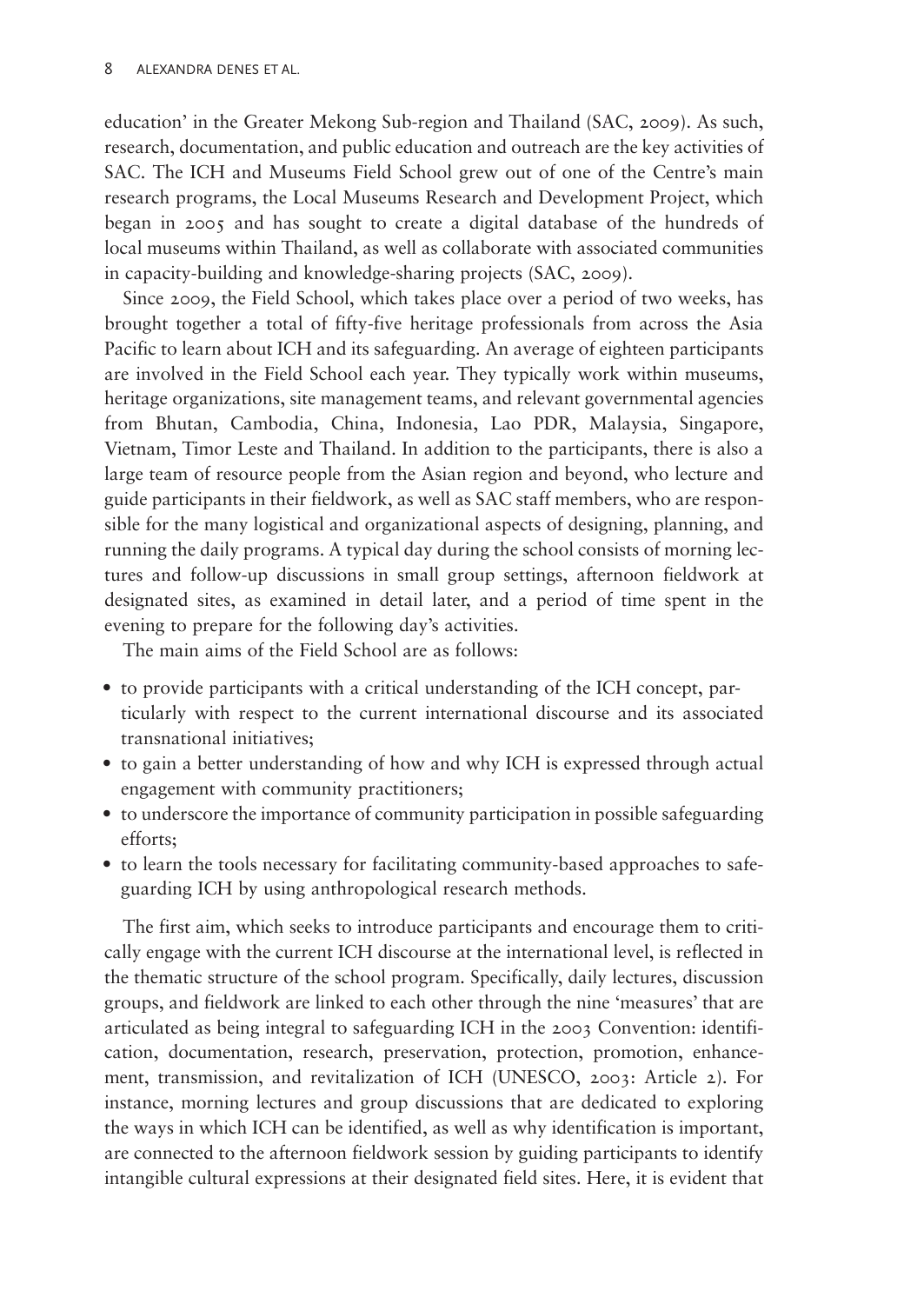education' in the Greater Mekong Sub-region and Thailand [\(SAC, 2009](#page-18-0)). As such, research, documentation, and public education and outreach are the key activities of SAC. The ICH and Museums Field School grew out of one of the Centre's main research programs, the Local Museums Research and Development Project, which began in 2005 and has sought to create a digital database of the hundreds of local museums within Thailand, as well as collaborate with associated communities in capacity-building and knowledge-sharing projects (SAC, 2009).

Since 2009, the Field School, which takes place over a period of two weeks, has brought together a total of fifty-five heritage professionals from across the Asia Pacific to learn about ICH and its safeguarding. An average of eighteen participants are involved in the Field School each year. They typically work within museums, heritage organizations, site management teams, and relevant governmental agencies from Bhutan, Cambodia, China, Indonesia, Lao PDR, Malaysia, Singapore, Vietnam, Timor Leste and Thailand. In addition to the participants, there is also a large team of resource people from the Asian region and beyond, who lecture and guide participants in their fieldwork, as well as SAC staff members, who are responsible for the many logistical and organizational aspects of designing, planning, and running the daily programs. A typical day during the school consists of morning lectures and follow-up discussions in small group settings, afternoon fieldwork at designated sites, as examined in detail later, and a period of time spent in the evening to prepare for the following day's activities.

The main aims of the Field School are as follows:

- to provide participants with a critical understanding of the ICH concept, particularly with respect to the current international discourse and its associated transnational initiatives;
- to gain a better understanding of how and why ICH is expressed through actual engagement with community practitioners;
- to underscore the importance of community participation in possible safeguarding efforts;
- to learn the tools necessary for facilitating community-based approaches to safeguarding ICH by using anthropological research methods.

The first aim, which seeks to introduce participants and encourage them to critically engage with the current ICH discourse at the international level, is reflected in the thematic structure of the school program. Specifically, daily lectures, discussion groups, and fieldwork are linked to each other through the nine 'measures' that are articulated as being integral to safeguarding ICH in the 2003 Convention: identification, documentation, research, preservation, protection, promotion, enhancement, transmission, and revitalization of ICH [\(UNESCO, 2003:](#page-18-0) Article 2). For instance, morning lectures and group discussions that are dedicated to exploring the ways in which ICH can be identified, as well as why identification is important, are connected to the afternoon fieldwork session by guiding participants to identify intangible cultural expressions at their designated field sites. Here, it is evident that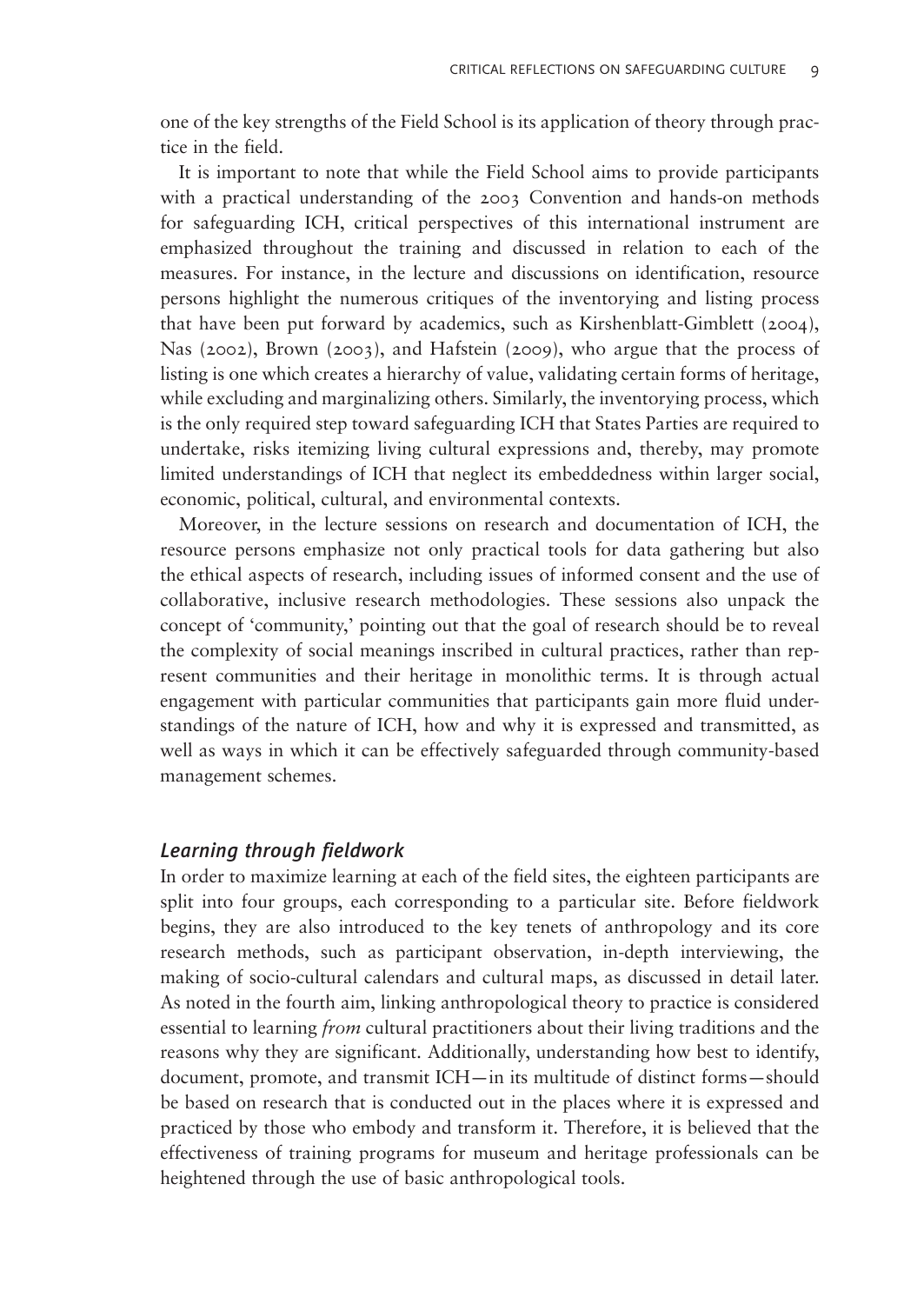one of the key strengths of the Field School is its application of theory through practice in the field.

It is important to note that while the Field School aims to provide participants with a practical understanding of the 2003 Convention and hands-on methods for safeguarding ICH, critical perspectives of this international instrument are emphasized throughout the training and discussed in relation to each of the measures. For instance, in the lecture and discussions on identification, resource persons highlight the numerous critiques of the inventorying and listing process that have been put forward by academics, such as [Kirshenblatt-Gimblett \(2004\)](#page-18-0), [Nas \(2002\),](#page-18-0) [Brown \(2003\),](#page-17-0) and [Hafstein \(2009\),](#page-17-0) who argue that the process of listing is one which creates a hierarchy of value, validating certain forms of heritage, while excluding and marginalizing others. Similarly, the inventorying process, which is the only required step toward safeguarding ICH that States Parties are required to undertake, risks itemizing living cultural expressions and, thereby, may promote limited understandings of ICH that neglect its embeddedness within larger social, economic, political, cultural, and environmental contexts.

Moreover, in the lecture sessions on research and documentation of ICH, the resource persons emphasize not only practical tools for data gathering but also the ethical aspects of research, including issues of informed consent and the use of collaborative, inclusive research methodologies. These sessions also unpack the concept of 'community,' pointing out that the goal of research should be to reveal the complexity of social meanings inscribed in cultural practices, rather than represent communities and their heritage in monolithic terms. It is through actual engagement with particular communities that participants gain more fluid understandings of the nature of ICH, how and why it is expressed and transmitted, as well as ways in which it can be effectively safeguarded through community-based management schemes.

#### Learning through fieldwork

In order to maximize learning at each of the field sites, the eighteen participants are split into four groups, each corresponding to a particular site. Before fieldwork begins, they are also introduced to the key tenets of anthropology and its core research methods, such as participant observation, in-depth interviewing, the making of socio-cultural calendars and cultural maps, as discussed in detail later. As noted in the fourth aim, linking anthropological theory to practice is considered essential to learning from cultural practitioners about their living traditions and the reasons why they are significant. Additionally, understanding how best to identify, document, promote, and transmit ICH—in its multitude of distinct forms—should be based on research that is conducted out in the places where it is expressed and practiced by those who embody and transform it. Therefore, it is believed that the effectiveness of training programs for museum and heritage professionals can be heightened through the use of basic anthropological tools.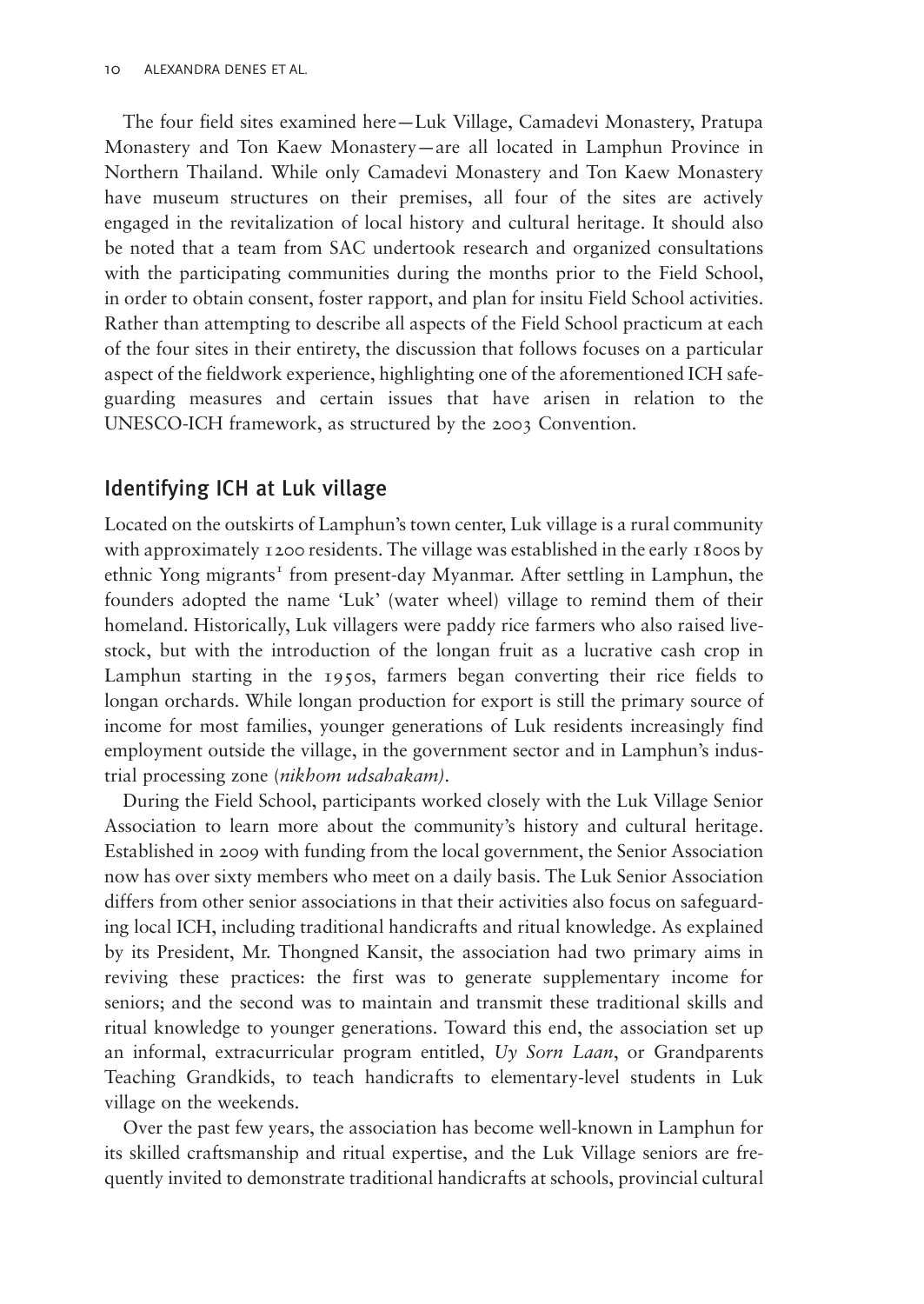The four field sites examined here—Luk Village, Camadevi Monastery, Pratupa Monastery and Ton Kaew Monastery—are all located in Lamphun Province in Northern Thailand. While only Camadevi Monastery and Ton Kaew Monastery have museum structures on their premises, all four of the sites are actively engaged in the revitalization of local history and cultural heritage. It should also be noted that a team from SAC undertook research and organized consultations with the participating communities during the months prior to the Field School, in order to obtain consent, foster rapport, and plan for insitu Field School activities. Rather than attempting to describe all aspects of the Field School practicum at each of the four sites in their entirety, the discussion that follows focuses on a particular aspect of the fieldwork experience, highlighting one of the aforementioned ICH safeguarding measures and certain issues that have arisen in relation to the UNESCO-ICH framework, as structured by the 2003 Convention.

## Identifying ICH at Luk village

Located on the outskirts of Lamphun's town center, Luk village is a rural community with approximately 1200 residents. The village was established in the early 1800s by ethnic Yong migrants<sup>1</sup> from present-day Myanmar. After settling in Lamphun, the founders adopted the name 'Luk' (water wheel) village to remind them of their homeland. Historically, Luk villagers were paddy rice farmers who also raised livestock, but with the introduction of the longan fruit as a lucrative cash crop in Lamphun starting in the 1950s, farmers began converting their rice fields to longan orchards. While longan production for export is still the primary source of income for most families, younger generations of Luk residents increasingly find employment outside the village, in the government sector and in Lamphun's industrial processing zone (nikhom udsahakam).

During the Field School, participants worked closely with the Luk Village Senior Association to learn more about the community's history and cultural heritage. Established in 2009 with funding from the local government, the Senior Association now has over sixty members who meet on a daily basis. The Luk Senior Association differs from other senior associations in that their activities also focus on safeguarding local ICH, including traditional handicrafts and ritual knowledge. As explained by its President, Mr. Thongned Kansit, the association had two primary aims in reviving these practices: the first was to generate supplementary income for seniors; and the second was to maintain and transmit these traditional skills and ritual knowledge to younger generations. Toward this end, the association set up an informal, extracurricular program entitled,  $Uy$  Sorn Laan, or Grandparents Teaching Grandkids, to teach handicrafts to elementary-level students in Luk village on the weekends.

Over the past few years, the association has become well-known in Lamphun for its skilled craftsmanship and ritual expertise, and the Luk Village seniors are frequently invited to demonstrate traditional handicrafts at schools, provincial cultural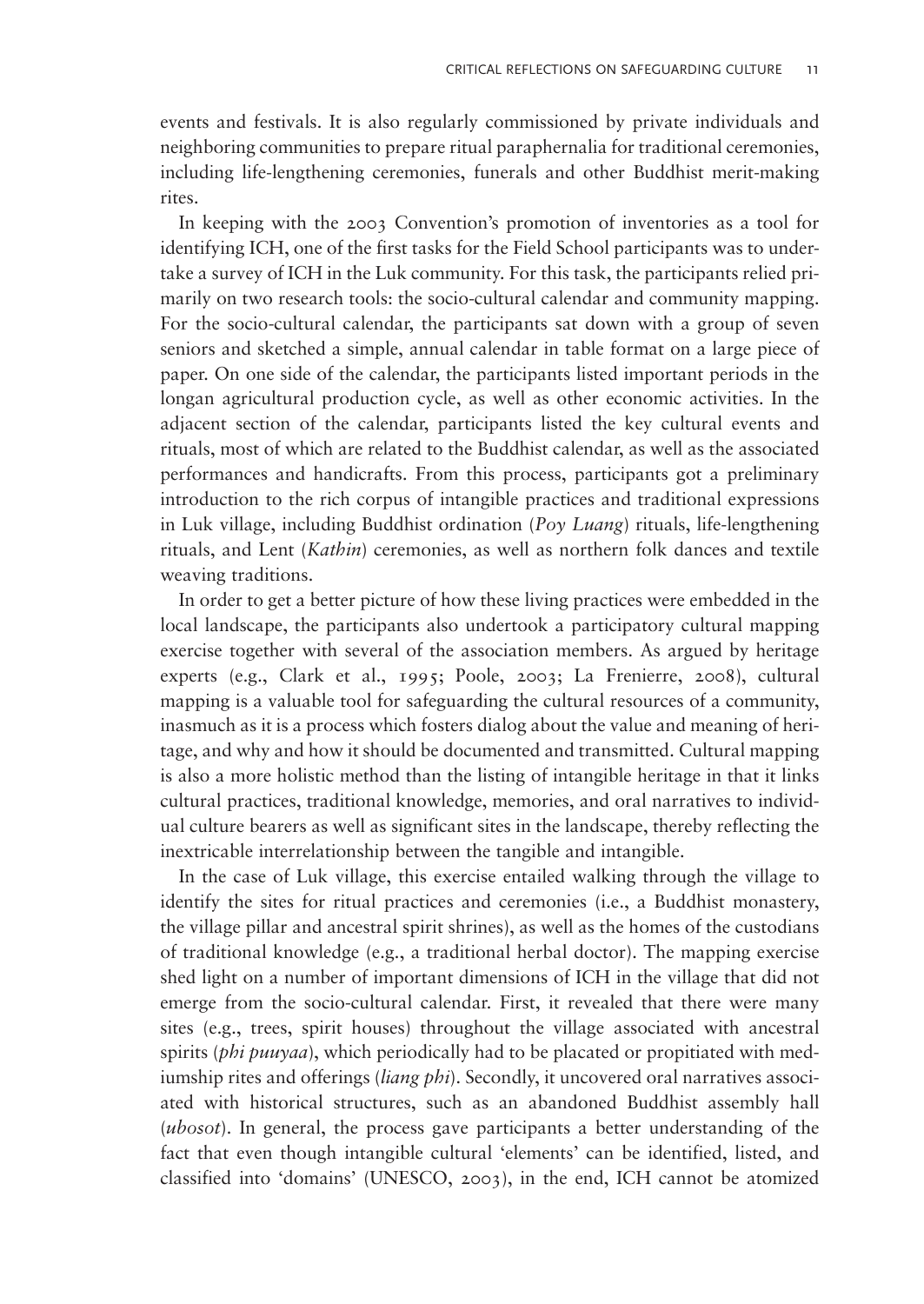events and festivals. It is also regularly commissioned by private individuals and neighboring communities to prepare ritual paraphernalia for traditional ceremonies, including life-lengthening ceremonies, funerals and other Buddhist merit-making rites.

In keeping with the 2003 Convention's promotion of inventories as a tool for identifying ICH, one of the first tasks for the Field School participants was to undertake a survey of ICH in the Luk community. For this task, the participants relied primarily on two research tools: the socio-cultural calendar and community mapping. For the socio-cultural calendar, the participants sat down with a group of seven seniors and sketched a simple, annual calendar in table format on a large piece of paper. On one side of the calendar, the participants listed important periods in the longan agricultural production cycle, as well as other economic activities. In the adjacent section of the calendar, participants listed the key cultural events and rituals, most of which are related to the Buddhist calendar, as well as the associated performances and handicrafts. From this process, participants got a preliminary introduction to the rich corpus of intangible practices and traditional expressions in Luk village, including Buddhist ordination (Poy Luang) rituals, life-lengthening rituals, and Lent (Kathin) ceremonies, as well as northern folk dances and textile weaving traditions.

In order to get a better picture of how these living practices were embedded in the local landscape, the participants also undertook a participatory cultural mapping exercise together with several of the association members. As argued by heritage experts (e.g., [Clark et al., 1995;](#page-17-0) [Poole, 2003](#page-18-0); [La Frenierre, 2008\)](#page-18-0), cultural mapping is a valuable tool for safeguarding the cultural resources of a community, inasmuch as it is a process which fosters dialog about the value and meaning of heritage, and why and how it should be documented and transmitted. Cultural mapping is also a more holistic method than the listing of intangible heritage in that it links cultural practices, traditional knowledge, memories, and oral narratives to individual culture bearers as well as significant sites in the landscape, thereby reflecting the inextricable interrelationship between the tangible and intangible.

In the case of Luk village, this exercise entailed walking through the village to identify the sites for ritual practices and ceremonies (i.e., a Buddhist monastery, the village pillar and ancestral spirit shrines), as well as the homes of the custodians of traditional knowledge (e.g., a traditional herbal doctor). The mapping exercise shed light on a number of important dimensions of ICH in the village that did not emerge from the socio-cultural calendar. First, it revealed that there were many sites (e.g., trees, spirit houses) throughout the village associated with ancestral spirits (*phi puuyaa*), which periodically had to be placated or propitiated with mediumship rites and offerings *(liang phi)*. Secondly, it uncovered oral narratives associated with historical structures, such as an abandoned Buddhist assembly hall (ubosot). In general, the process gave participants a better understanding of the fact that even though intangible cultural 'elements' can be identified, listed, and classified into 'domains' ([UNESCO, 2003](#page-18-0)), in the end, ICH cannot be atomized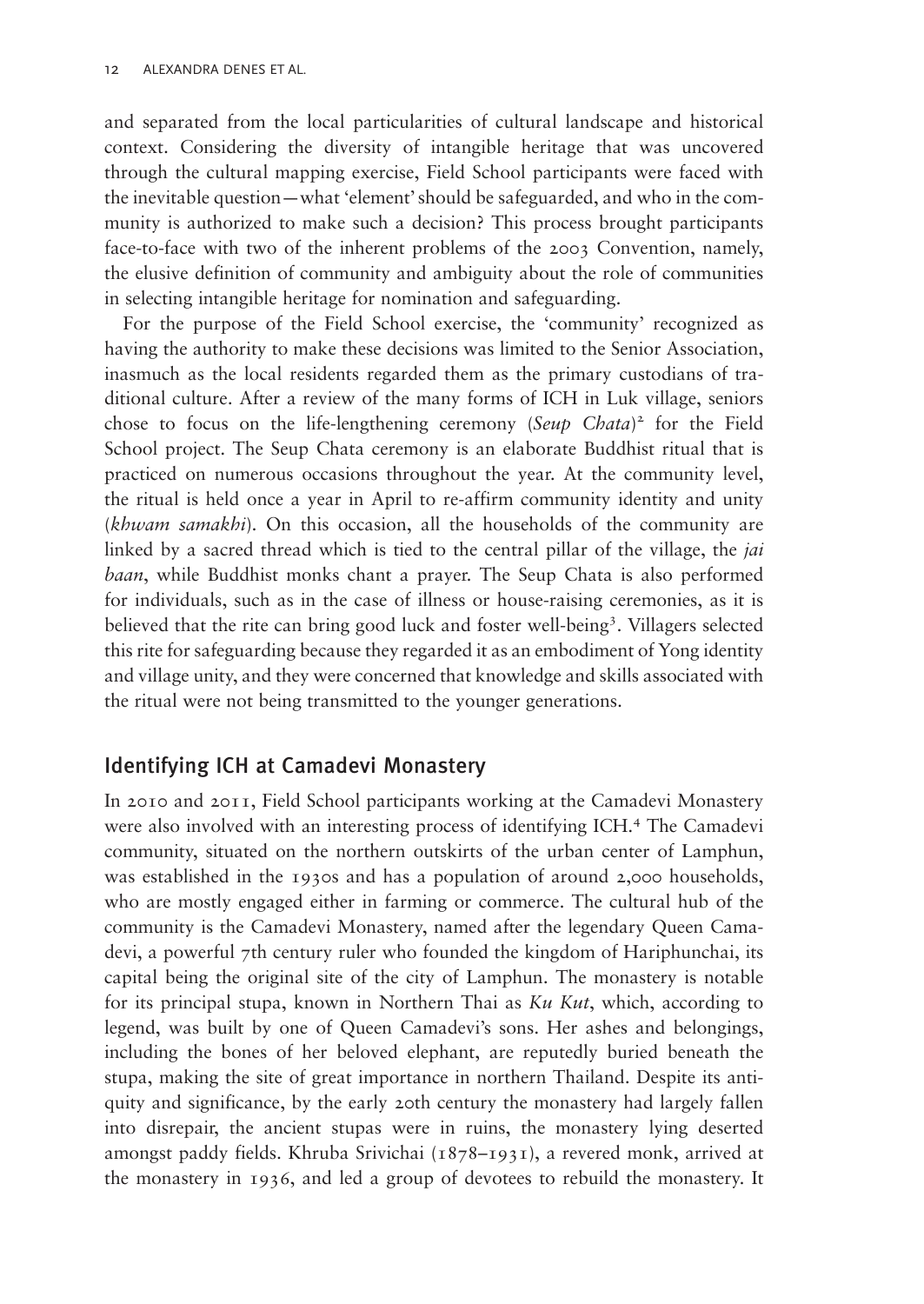and separated from the local particularities of cultural landscape and historical context. Considering the diversity of intangible heritage that was uncovered through the cultural mapping exercise, Field School participants were faced with the inevitable question—what 'element'should be safeguarded, and who in the community is authorized to make such a decision? This process brought participants face-to-face with two of the inherent problems of the 2003 Convention, namely, the elusive definition of community and ambiguity about the role of communities in selecting intangible heritage for nomination and safeguarding.

For the purpose of the Field School exercise, the 'community' recognized as having the authority to make these decisions was limited to the Senior Association, inasmuch as the local residents regarded them as the primary custodians of traditional culture. After a review of the many forms of ICH in Luk village, seniors chose to focus on the life-lengthening ceremony (Seup Chata)<sup>2</sup> for the Field School project. The Seup Chata ceremony is an elaborate Buddhist ritual that is practiced on numerous occasions throughout the year. At the community level, the ritual is held once a year in April to re-affirm community identity and unity (khwam samakhi). On this occasion, all the households of the community are linked by a sacred thread which is tied to the central pillar of the village, the *jai* baan, while Buddhist monks chant a prayer. The Seup Chata is also performed for individuals, such as in the case of illness or house-raising ceremonies, as it is believed that the rite can bring good luck and foster well-being<sup>3</sup>. Villagers selected this rite for safeguarding because they regarded it as an embodiment of Yong identity and village unity, and they were concerned that knowledge and skills associated with the ritual were not being transmitted to the younger generations.

# Identifying ICH at Camadevi Monastery

In 2010 and 2011, Field School participants working at the Camadevi Monastery were also involved with an interesting process of identifying ICH.<sup>4</sup> The Camadevi community, situated on the northern outskirts of the urban center of Lamphun, was established in the 1930s and has a population of around 2,000 households, who are mostly engaged either in farming or commerce. The cultural hub of the community is the Camadevi Monastery, named after the legendary Queen Camadevi, a powerful 7th century ruler who founded the kingdom of Hariphunchai, its capital being the original site of the city of Lamphun. The monastery is notable for its principal stupa, known in Northern Thai as  $Ku$  Kut, which, according to legend, was built by one of Queen Camadevi's sons. Her ashes and belongings, including the bones of her beloved elephant, are reputedly buried beneath the stupa, making the site of great importance in northern Thailand. Despite its antiquity and significance, by the early 20th century the monastery had largely fallen into disrepair, the ancient stupas were in ruins, the monastery lying deserted amongst paddy fields. Khruba Srivichai (1878–1931), a revered monk, arrived at the monastery in 1936, and led a group of devotees to rebuild the monastery. It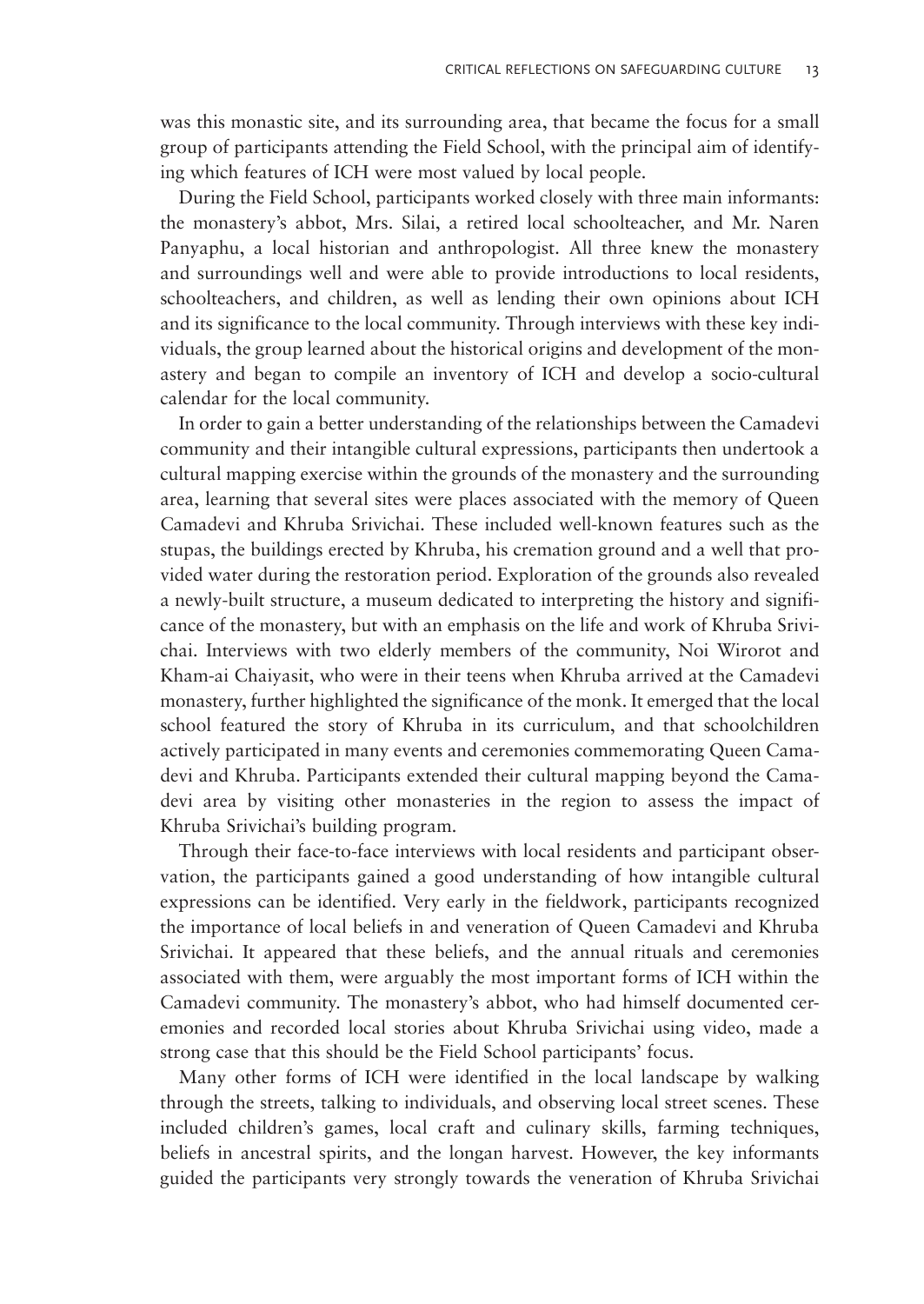was this monastic site, and its surrounding area, that became the focus for a small group of participants attending the Field School, with the principal aim of identifying which features of ICH were most valued by local people.

During the Field School, participants worked closely with three main informants: the monastery's abbot, Mrs. Silai, a retired local schoolteacher, and Mr. Naren Panyaphu, a local historian and anthropologist. All three knew the monastery and surroundings well and were able to provide introductions to local residents, schoolteachers, and children, as well as lending their own opinions about ICH and its significance to the local community. Through interviews with these key individuals, the group learned about the historical origins and development of the monastery and began to compile an inventory of ICH and develop a socio-cultural calendar for the local community.

In order to gain a better understanding of the relationships between the Camadevi community and their intangible cultural expressions, participants then undertook a cultural mapping exercise within the grounds of the monastery and the surrounding area, learning that several sites were places associated with the memory of Queen Camadevi and Khruba Srivichai. These included well-known features such as the stupas, the buildings erected by Khruba, his cremation ground and a well that provided water during the restoration period. Exploration of the grounds also revealed a newly-built structure, a museum dedicated to interpreting the history and significance of the monastery, but with an emphasis on the life and work of Khruba Srivichai. Interviews with two elderly members of the community, Noi Wirorot and Kham-ai Chaiyasit, who were in their teens when Khruba arrived at the Camadevi monastery, further highlighted the significance of the monk. It emerged that the local school featured the story of Khruba in its curriculum, and that schoolchildren actively participated in many events and ceremonies commemorating Queen Camadevi and Khruba. Participants extended their cultural mapping beyond the Camadevi area by visiting other monasteries in the region to assess the impact of Khruba Srivichai's building program.

Through their face-to-face interviews with local residents and participant observation, the participants gained a good understanding of how intangible cultural expressions can be identified. Very early in the fieldwork, participants recognized the importance of local beliefs in and veneration of Queen Camadevi and Khruba Srivichai. It appeared that these beliefs, and the annual rituals and ceremonies associated with them, were arguably the most important forms of ICH within the Camadevi community. The monastery's abbot, who had himself documented ceremonies and recorded local stories about Khruba Srivichai using video, made a strong case that this should be the Field School participants' focus.

Many other forms of ICH were identified in the local landscape by walking through the streets, talking to individuals, and observing local street scenes. These included children's games, local craft and culinary skills, farming techniques, beliefs in ancestral spirits, and the longan harvest. However, the key informants guided the participants very strongly towards the veneration of Khruba Srivichai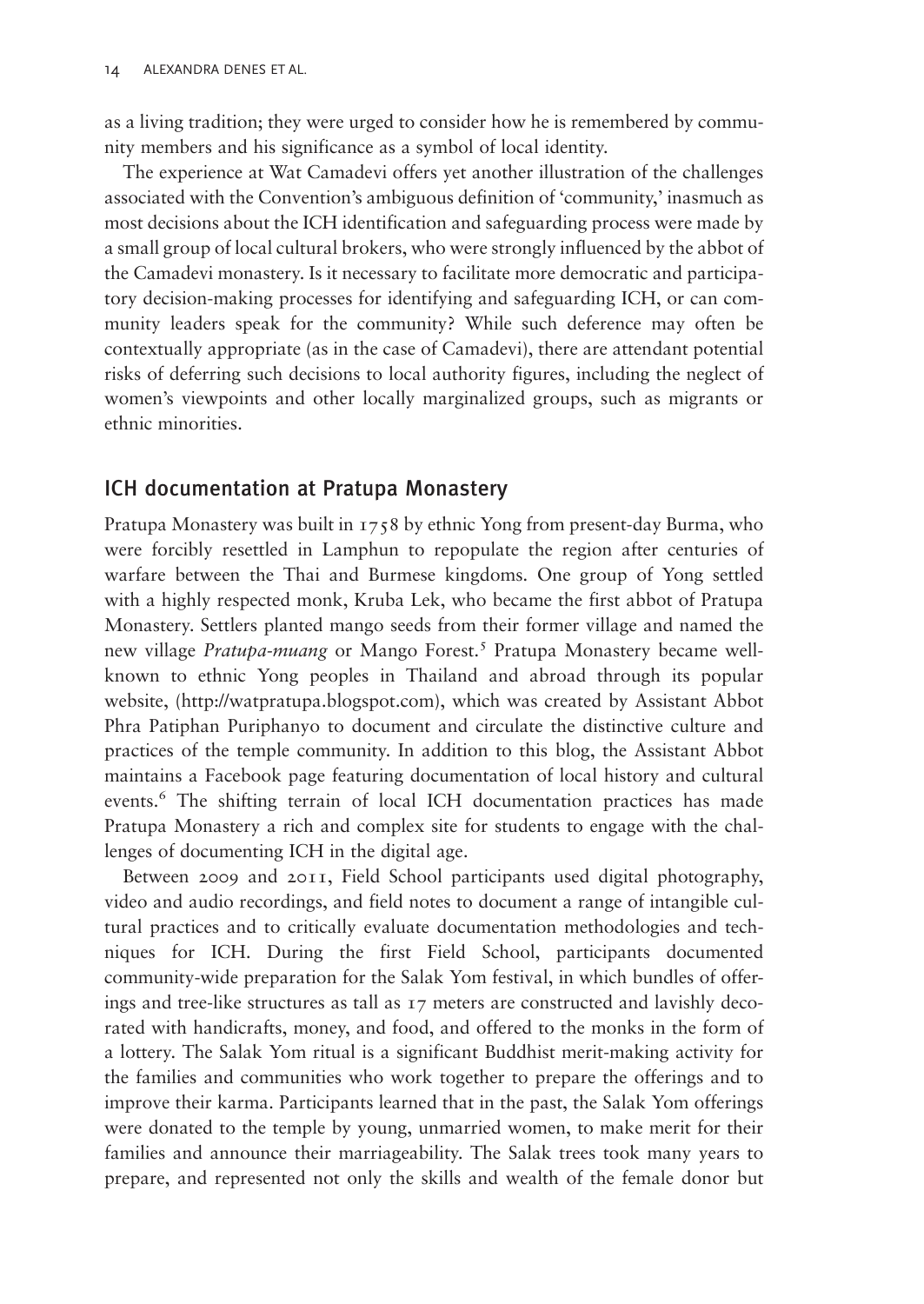as a living tradition; they were urged to consider how he is remembered by community members and his significance as a symbol of local identity.

The experience at Wat Camadevi offers yet another illustration of the challenges associated with the Convention's ambiguous definition of 'community,' inasmuch as most decisions about the ICH identification and safeguarding process were made by a small group of local cultural brokers, who were strongly influenced by the abbot of the Camadevi monastery. Is it necessary to facilitate more democratic and participatory decision-making processes for identifying and safeguarding ICH, or can community leaders speak for the community? While such deference may often be contextually appropriate (as in the case of Camadevi), there are attendant potential risks of deferring such decisions to local authority figures, including the neglect of women's viewpoints and other locally marginalized groups, such as migrants or ethnic minorities.

#### ICH documentation at Pratupa Monastery

Pratupa Monastery was built in 1758 by ethnic Yong from present-day Burma, who were forcibly resettled in Lamphun to repopulate the region after centuries of warfare between the Thai and Burmese kingdoms. One group of Yong settled with a highly respected monk, Kruba Lek, who became the first abbot of Pratupa Monastery. Settlers planted mango seeds from their former village and named the new village *Pratupa-muang* or Mango Forest.<sup>5</sup> Pratupa Monastery became wellknown to ethnic Yong peoples in Thailand and abroad through its popular website, [\(http://watpratupa.blogspot.com](http://watpratupa.blogspot.com)), which was created by Assistant Abbot Phra Patiphan Puriphanyo to document and circulate the distinctive culture and practices of the temple community. In addition to this blog, the Assistant Abbot maintains a Facebook page featuring documentation of local history and cultural events.<sup>6</sup> The shifting terrain of local ICH documentation practices has made Pratupa Monastery a rich and complex site for students to engage with the challenges of documenting ICH in the digital age.

Between 2009 and 2011, Field School participants used digital photography, video and audio recordings, and field notes to document a range of intangible cultural practices and to critically evaluate documentation methodologies and techniques for ICH. During the first Field School, participants documented community-wide preparation for the Salak Yom festival, in which bundles of offerings and tree-like structures as tall as 17 meters are constructed and lavishly decorated with handicrafts, money, and food, and offered to the monks in the form of a lottery. The Salak Yom ritual is a significant Buddhist merit-making activity for the families and communities who work together to prepare the offerings and to improve their karma. Participants learned that in the past, the Salak Yom offerings were donated to the temple by young, unmarried women, to make merit for their families and announce their marriageability. The Salak trees took many years to prepare, and represented not only the skills and wealth of the female donor but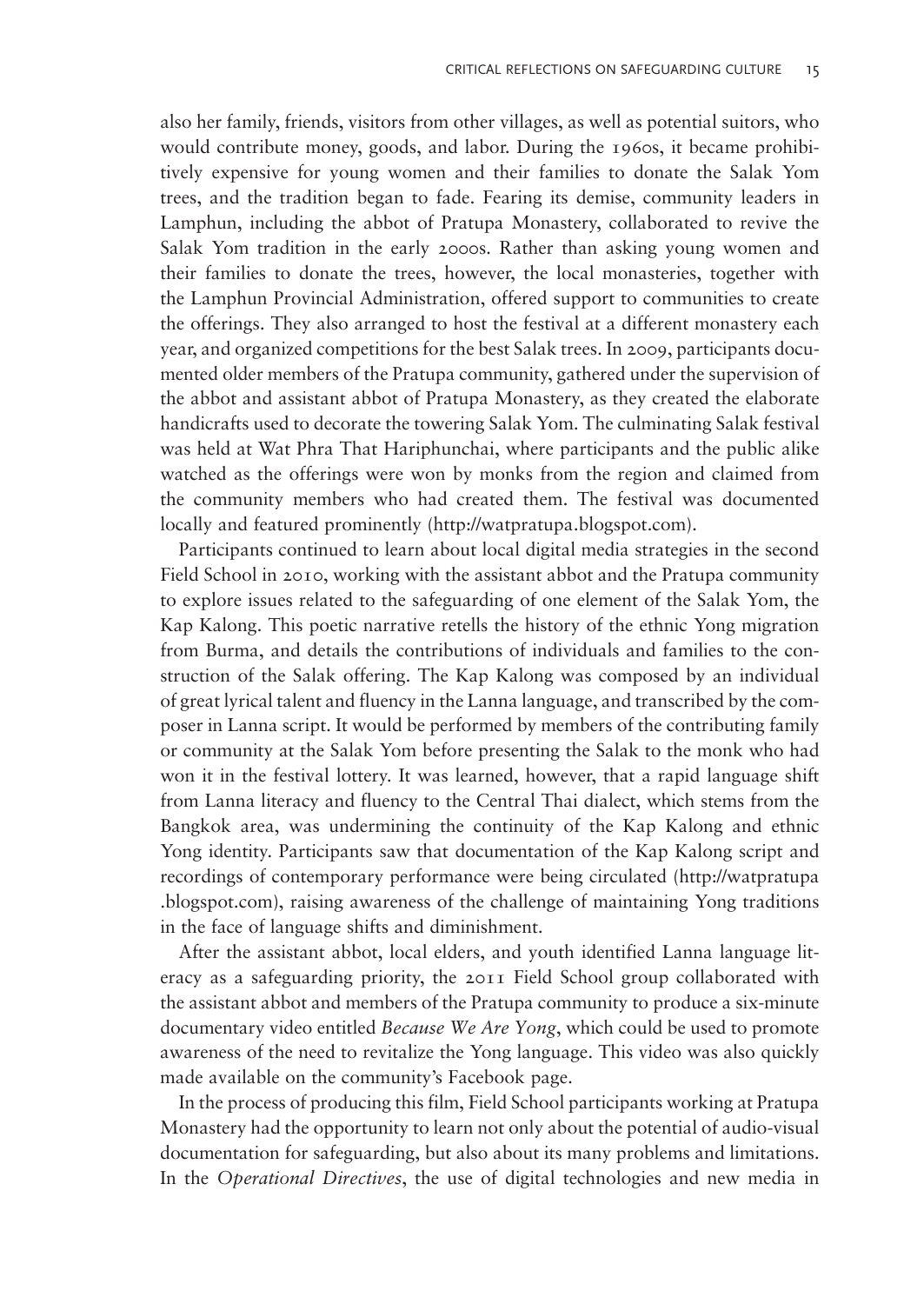also her family, friends, visitors from other villages, as well as potential suitors, who would contribute money, goods, and labor. During the 1960s, it became prohibitively expensive for young women and their families to donate the Salak Yom trees, and the tradition began to fade. Fearing its demise, community leaders in Lamphun, including the abbot of Pratupa Monastery, collaborated to revive the Salak Yom tradition in the early 2000s. Rather than asking young women and their families to donate the trees, however, the local monasteries, together with the Lamphun Provincial Administration, offered support to communities to create the offerings. They also arranged to host the festival at a different monastery each year, and organized competitions for the best Salak trees. In 2009, participants documented older members of the Pratupa community, gathered under the supervision of the abbot and assistant abbot of Pratupa Monastery, as they created the elaborate handicrafts used to decorate the towering Salak Yom. The culminating Salak festival was held at Wat Phra That Hariphunchai, where participants and the public alike watched as the offerings were won by monks from the region and claimed from the community members who had created them. The festival was documented locally and featured prominently (<http://watpratupa.blogspot.com>).

Participants continued to learn about local digital media strategies in the second Field School in 2010, working with the assistant abbot and the Pratupa community to explore issues related to the safeguarding of one element of the Salak Yom, the Kap Kalong. This poetic narrative retells the history of the ethnic Yong migration from Burma, and details the contributions of individuals and families to the construction of the Salak offering. The Kap Kalong was composed by an individual of great lyrical talent and fluency in the Lanna language, and transcribed by the composer in Lanna script. It would be performed by members of the contributing family or community at the Salak Yom before presenting the Salak to the monk who had won it in the festival lottery. It was learned, however, that a rapid language shift from Lanna literacy and fluency to the Central Thai dialect, which stems from the Bangkok area, was undermining the continuity of the Kap Kalong and ethnic Yong identity. Participants saw that documentation of the Kap Kalong script and recordings of contemporary performance were being circulated ([http://watpratupa](http://watpratupa.blogspot.com) [.blogspot.com](http://watpratupa.blogspot.com)), raising awareness of the challenge of maintaining Yong traditions in the face of language shifts and diminishment.

After the assistant abbot, local elders, and youth identified Lanna language literacy as a safeguarding priority, the 2011 Field School group collaborated with the assistant abbot and members of the Pratupa community to produce a six-minute documentary video entitled *Because We Are Yong*, which could be used to promote awareness of the need to revitalize the Yong language. This video was also quickly made available on the community's Facebook page.

In the process of producing this film, Field School participants working at Pratupa Monastery had the opportunity to learn not only about the potential of audio-visual documentation for safeguarding, but also about its many problems and limitations. In the Operational Directives, the use of digital technologies and new media in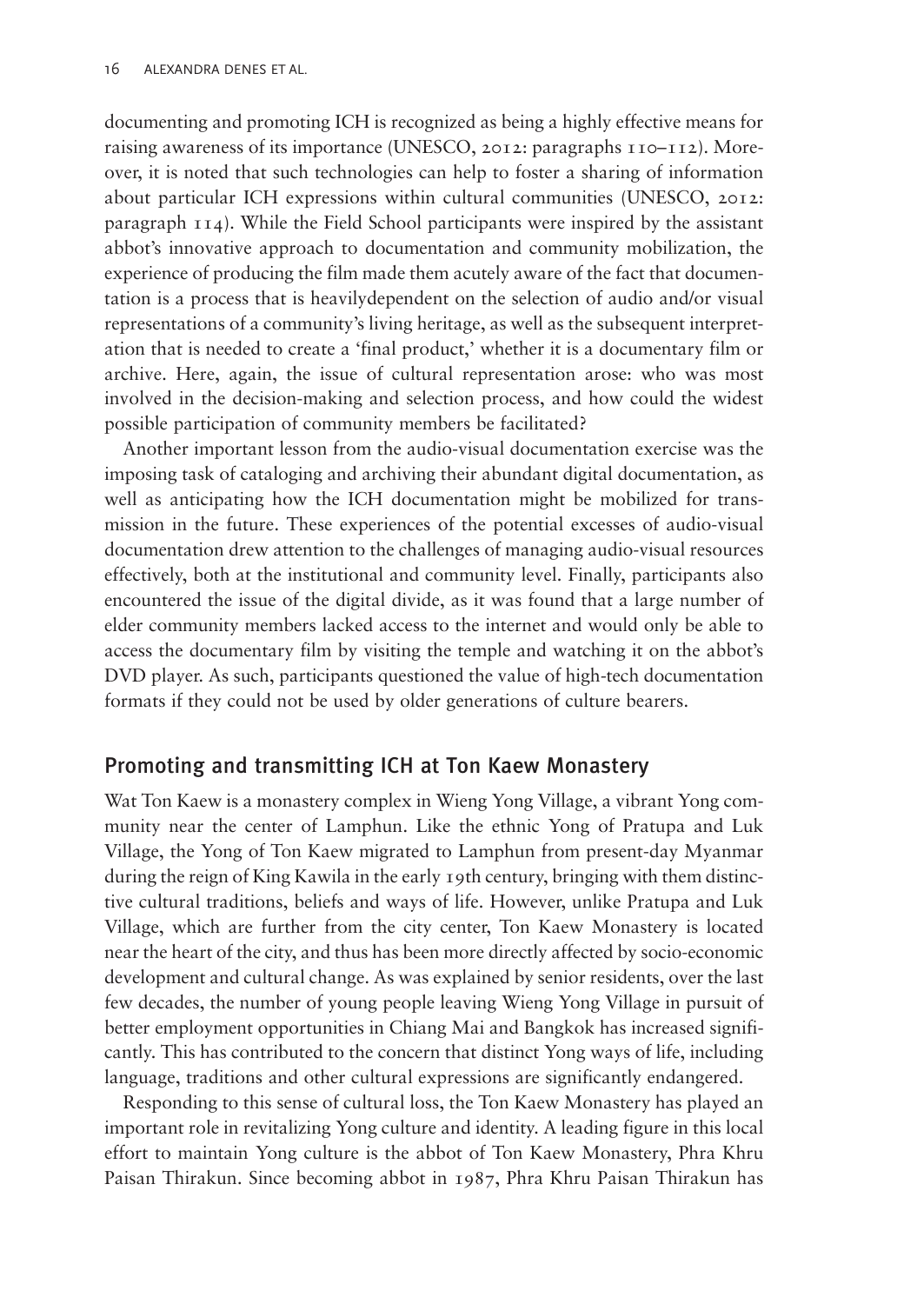documenting and promoting ICH is recognized as being a highly effective means for raising awareness of its importance [\(UNESCO, 2012](#page-18-0): paragraphs 110–112). Moreover, it is noted that such technologies can help to foster a sharing of information about particular ICH expressions within cultural communities ([UNESCO, 2012](#page-18-0): paragraph 114). While the Field School participants were inspired by the assistant abbot's innovative approach to documentation and community mobilization, the experience of producing the film made them acutely aware of the fact that documentation is a process that is heavilydependent on the selection of audio and/or visual representations of a community's living heritage, as well as the subsequent interpretation that is needed to create a 'final product,' whether it is a documentary film or archive. Here, again, the issue of cultural representation arose: who was most involved in the decision-making and selection process, and how could the widest possible participation of community members be facilitated?

Another important lesson from the audio-visual documentation exercise was the imposing task of cataloging and archiving their abundant digital documentation, as well as anticipating how the ICH documentation might be mobilized for transmission in the future. These experiences of the potential excesses of audio-visual documentation drew attention to the challenges of managing audio-visual resources effectively, both at the institutional and community level. Finally, participants also encountered the issue of the digital divide, as it was found that a large number of elder community members lacked access to the internet and would only be able to access the documentary film by visiting the temple and watching it on the abbot's DVD player. As such, participants questioned the value of high-tech documentation formats if they could not be used by older generations of culture bearers.

#### Promoting and transmitting ICH at Ton Kaew Monastery

Wat Ton Kaew is a monastery complex in Wieng Yong Village, a vibrant Yong community near the center of Lamphun. Like the ethnic Yong of Pratupa and Luk Village, the Yong of Ton Kaew migrated to Lamphun from present-day Myanmar during the reign of King Kawila in the early 19th century, bringing with them distinctive cultural traditions, beliefs and ways of life. However, unlike Pratupa and Luk Village, which are further from the city center, Ton Kaew Monastery is located near the heart of the city, and thus has been more directly affected by socio-economic development and cultural change. As was explained by senior residents, over the last few decades, the number of young people leaving Wieng Yong Village in pursuit of better employment opportunities in Chiang Mai and Bangkok has increased significantly. This has contributed to the concern that distinct Yong ways of life, including language, traditions and other cultural expressions are significantly endangered.

Responding to this sense of cultural loss, the Ton Kaew Monastery has played an important role in revitalizing Yong culture and identity. A leading figure in this local effort to maintain Yong culture is the abbot of Ton Kaew Monastery, Phra Khru Paisan Thirakun. Since becoming abbot in 1987, Phra Khru Paisan Thirakun has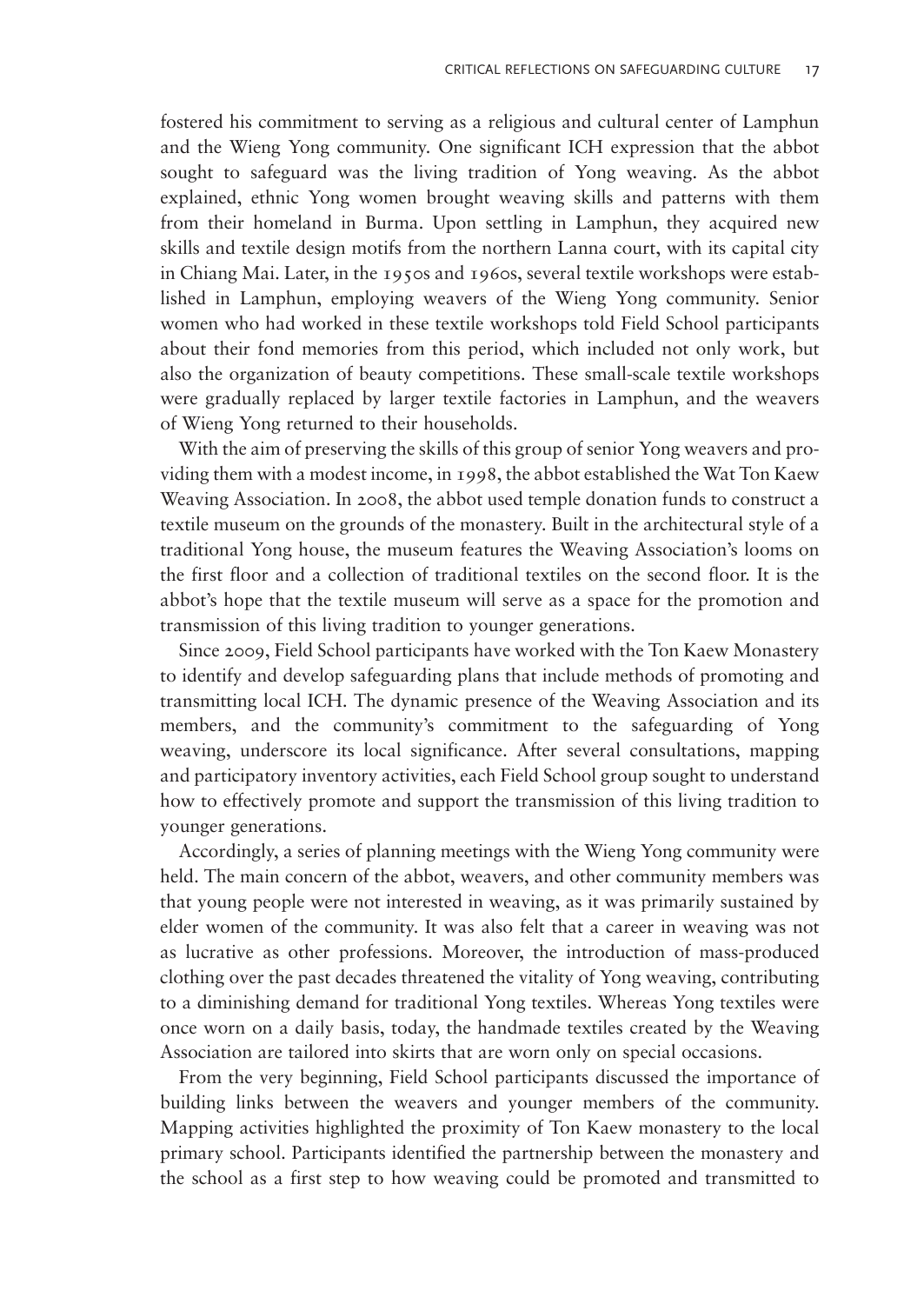fostered his commitment to serving as a religious and cultural center of Lamphun and the Wieng Yong community. One significant ICH expression that the abbot sought to safeguard was the living tradition of Yong weaving. As the abbot explained, ethnic Yong women brought weaving skills and patterns with them from their homeland in Burma. Upon settling in Lamphun, they acquired new skills and textile design motifs from the northern Lanna court, with its capital city in Chiang Mai. Later, in the 1950s and 1960s, several textile workshops were established in Lamphun, employing weavers of the Wieng Yong community. Senior women who had worked in these textile workshops told Field School participants about their fond memories from this period, which included not only work, but also the organization of beauty competitions. These small-scale textile workshops were gradually replaced by larger textile factories in Lamphun, and the weavers of Wieng Yong returned to their households.

With the aim of preserving the skills of this group of senior Yong weavers and providing them with a modest income, in 1998, the abbot established the Wat Ton Kaew Weaving Association. In 2008, the abbot used temple donation funds to construct a textile museum on the grounds of the monastery. Built in the architectural style of a traditional Yong house, the museum features the Weaving Association's looms on the first floor and a collection of traditional textiles on the second floor. It is the abbot's hope that the textile museum will serve as a space for the promotion and transmission of this living tradition to younger generations.

Since 2009, Field School participants have worked with the Ton Kaew Monastery to identify and develop safeguarding plans that include methods of promoting and transmitting local ICH. The dynamic presence of the Weaving Association and its members, and the community's commitment to the safeguarding of Yong weaving, underscore its local significance. After several consultations, mapping and participatory inventory activities, each Field School group sought to understand how to effectively promote and support the transmission of this living tradition to younger generations.

Accordingly, a series of planning meetings with the Wieng Yong community were held. The main concern of the abbot, weavers, and other community members was that young people were not interested in weaving, as it was primarily sustained by elder women of the community. It was also felt that a career in weaving was not as lucrative as other professions. Moreover, the introduction of mass-produced clothing over the past decades threatened the vitality of Yong weaving, contributing to a diminishing demand for traditional Yong textiles. Whereas Yong textiles were once worn on a daily basis, today, the handmade textiles created by the Weaving Association are tailored into skirts that are worn only on special occasions.

From the very beginning, Field School participants discussed the importance of building links between the weavers and younger members of the community. Mapping activities highlighted the proximity of Ton Kaew monastery to the local primary school. Participants identified the partnership between the monastery and the school as a first step to how weaving could be promoted and transmitted to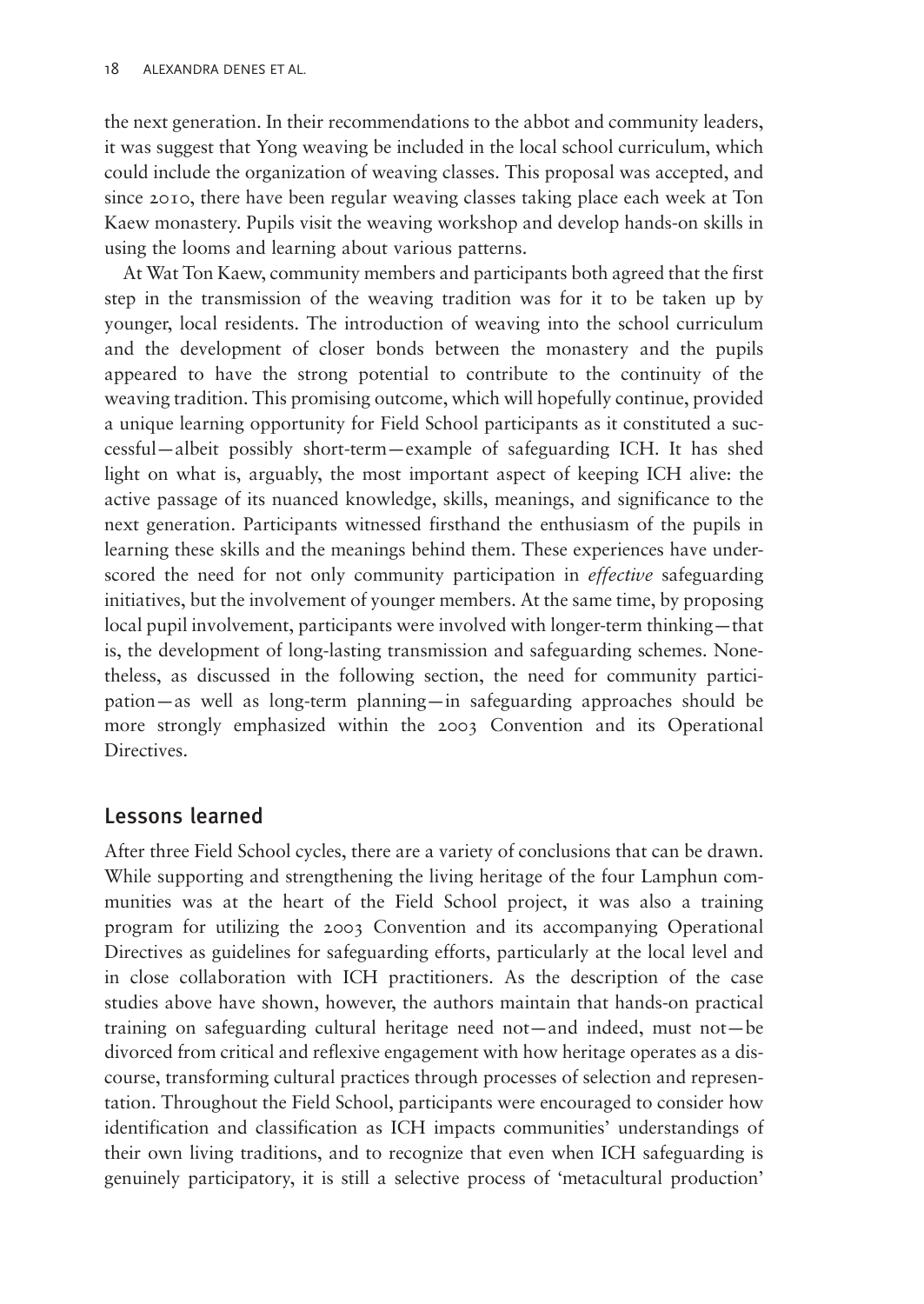the next generation. In their recommendations to the abbot and community leaders, it was suggest that Yong weaving be included in the local school curriculum, which could include the organization of weaving classes. This proposal was accepted, and since 2010, there have been regular weaving classes taking place each week at Ton Kaew monastery. Pupils visit the weaving workshop and develop hands-on skills in using the looms and learning about various patterns.

At Wat Ton Kaew, community members and participants both agreed that the first step in the transmission of the weaving tradition was for it to be taken up by younger, local residents. The introduction of weaving into the school curriculum and the development of closer bonds between the monastery and the pupils appeared to have the strong potential to contribute to the continuity of the weaving tradition. This promising outcome, which will hopefully continue, provided a unique learning opportunity for Field School participants as it constituted a successful—albeit possibly short-term—example of safeguarding ICH. It has shed light on what is, arguably, the most important aspect of keeping ICH alive: the active passage of its nuanced knowledge, skills, meanings, and significance to the next generation. Participants witnessed firsthand the enthusiasm of the pupils in learning these skills and the meanings behind them. These experiences have underscored the need for not only community participation in *effective* safeguarding initiatives, but the involvement of younger members. At the same time, by proposing local pupil involvement, participants were involved with longer-term thinking—that is, the development of long-lasting transmission and safeguarding schemes. Nonetheless, as discussed in the following section, the need for community participation—as well as long-term planning—in safeguarding approaches should be more strongly emphasized within the 2003 Convention and its Operational Directives.

# Lessons learned

After three Field School cycles, there are a variety of conclusions that can be drawn. While supporting and strengthening the living heritage of the four Lamphun communities was at the heart of the Field School project, it was also a training program for utilizing the 2003 Convention and its accompanying Operational Directives as guidelines for safeguarding efforts, particularly at the local level and in close collaboration with ICH practitioners. As the description of the case studies above have shown, however, the authors maintain that hands-on practical training on safeguarding cultural heritage need not—and indeed, must not—be divorced from critical and reflexive engagement with how heritage operates as a discourse, transforming cultural practices through processes of selection and representation. Throughout the Field School, participants were encouraged to consider how identification and classification as ICH impacts communities' understandings of their own living traditions, and to recognize that even when ICH safeguarding is genuinely participatory, it is still a selective process of 'metacultural production'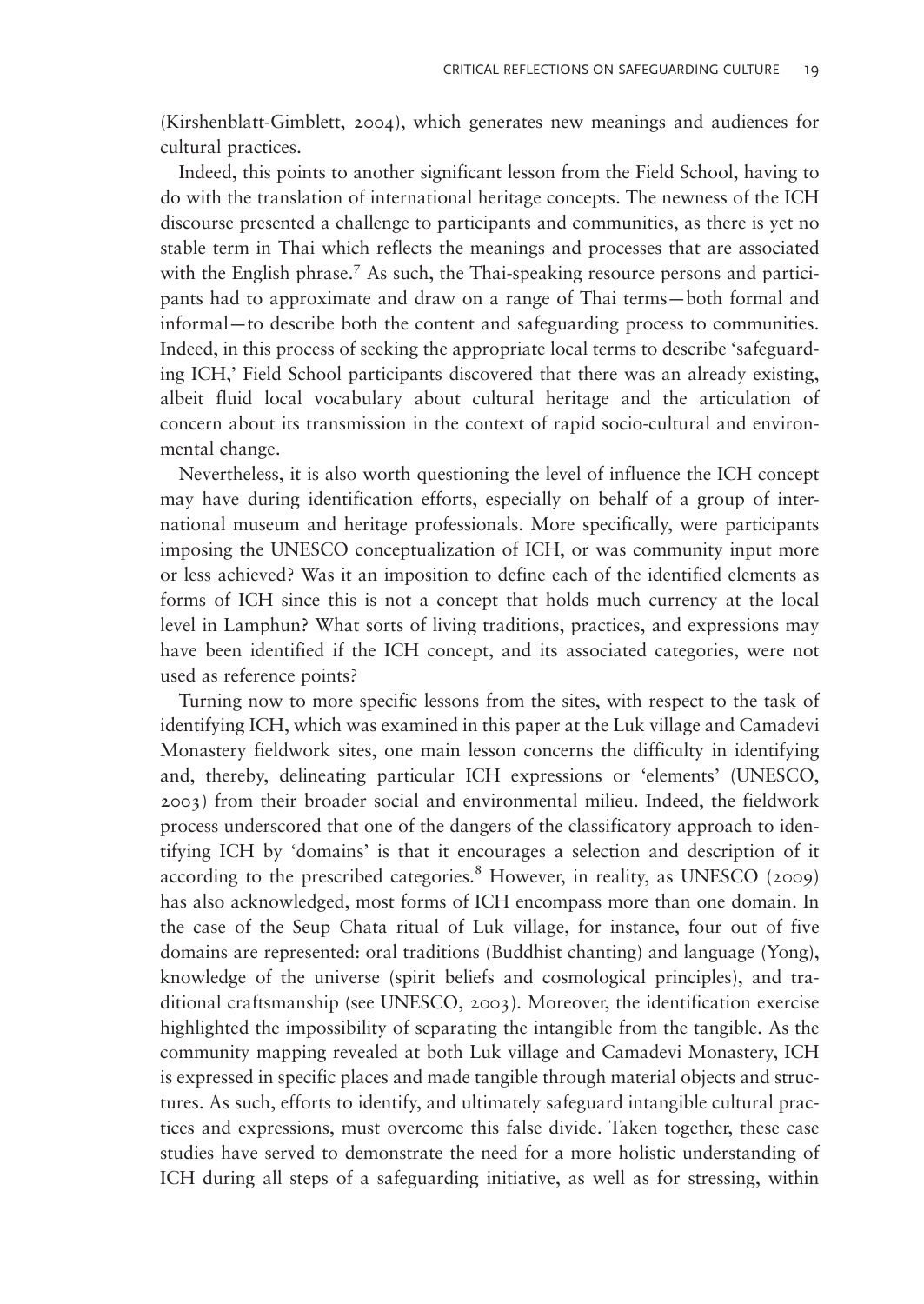[\(Kirshenblatt-Gimblett, 2004\)](#page-18-0), which generates new meanings and audiences for cultural practices.

Indeed, this points to another significant lesson from the Field School, having to do with the translation of international heritage concepts. The newness of the ICH discourse presented a challenge to participants and communities, as there is yet no stable term in Thai which reflects the meanings and processes that are associated with the English phrase.<sup>7</sup> As such, the Thai-speaking resource persons and participants had to approximate and draw on a range of Thai terms—both formal and informal—to describe both the content and safeguarding process to communities. Indeed, in this process of seeking the appropriate local terms to describe 'safeguarding ICH,' Field School participants discovered that there was an already existing, albeit fluid local vocabulary about cultural heritage and the articulation of concern about its transmission in the context of rapid socio-cultural and environmental change.

Nevertheless, it is also worth questioning the level of influence the ICH concept may have during identification efforts, especially on behalf of a group of international museum and heritage professionals. More specifically, were participants imposing the UNESCO conceptualization of ICH, or was community input more or less achieved? Was it an imposition to define each of the identified elements as forms of ICH since this is not a concept that holds much currency at the local level in Lamphun? What sorts of living traditions, practices, and expressions may have been identified if the ICH concept, and its associated categories, were not used as reference points?

Turning now to more specific lessons from the sites, with respect to the task of identifying ICH, which was examined in this paper at the Luk village and Camadevi Monastery fieldwork sites, one main lesson concerns the difficulty in identifying and, thereby, delineating particular ICH expressions or 'elements' [\(UNESCO,](#page-18-0) [2003](#page-18-0)) from their broader social and environmental milieu. Indeed, the fieldwork process underscored that one of the dangers of the classificatory approach to identifying ICH by 'domains' is that it encourages a selection and description of it according to the prescribed categories.<sup>8</sup> However, in reality, as [UNESCO \(2009\)](#page-18-0) has also acknowledged, most forms of ICH encompass more than one domain. In the case of the Seup Chata ritual of Luk village, for instance, four out of five domains are represented: oral traditions (Buddhist chanting) and language (Yong), knowledge of the universe (spirit beliefs and cosmological principles), and traditional craftsmanship (see [UNESCO, 2003](#page-18-0)). Moreover, the identification exercise highlighted the impossibility of separating the intangible from the tangible. As the community mapping revealed at both Luk village and Camadevi Monastery, ICH is expressed in specific places and made tangible through material objects and structures. As such, efforts to identify, and ultimately safeguard intangible cultural practices and expressions, must overcome this false divide. Taken together, these case studies have served to demonstrate the need for a more holistic understanding of ICH during all steps of a safeguarding initiative, as well as for stressing, within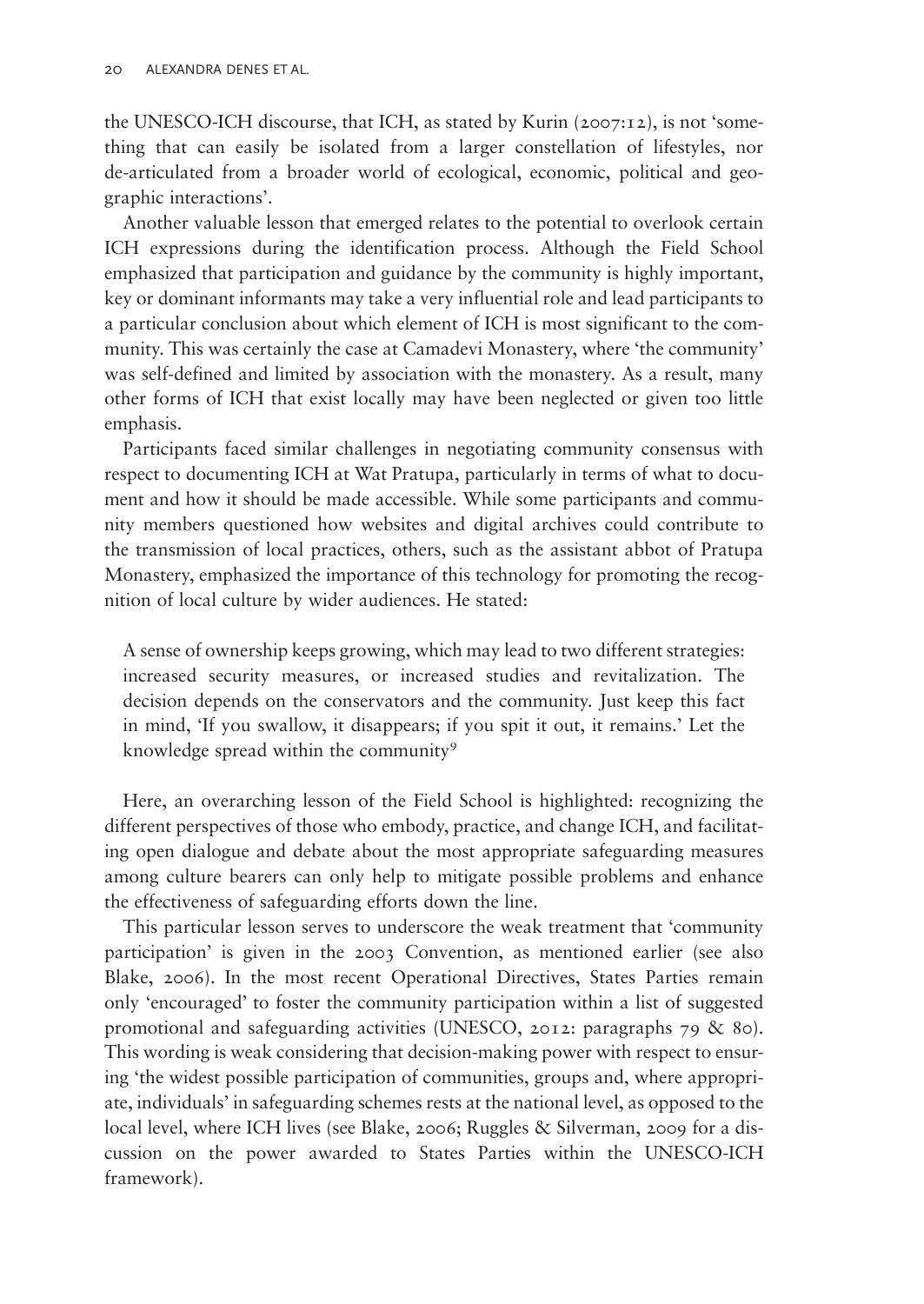the UNESCO-ICH discourse, that ICH, as stated by [Kurin \(2007](#page-18-0):12), is not 'something that can easily be isolated from a larger constellation of lifestyles, nor de-articulated from a broader world of ecological, economic, political and geographic interactions'.

Another valuable lesson that emerged relates to the potential to overlook certain ICH expressions during the identification process. Although the Field School emphasized that participation and guidance by the community is highly important, key or dominant informants may take a very influential role and lead participants to a particular conclusion about which element of ICH is most significant to the community. This was certainly the case at Camadevi Monastery, where 'the community' was self-defined and limited by association with the monastery. As a result, many other forms of ICH that exist locally may have been neglected or given too little emphasis.

Participants faced similar challenges in negotiating community consensus with respect to documenting ICH at Wat Pratupa, particularly in terms of what to document and how it should be made accessible. While some participants and community members questioned how websites and digital archives could contribute to the transmission of local practices, others, such as the assistant abbot of Pratupa Monastery, emphasized the importance of this technology for promoting the recognition of local culture by wider audiences. He stated:

A sense of ownership keeps growing, which may lead to two different strategies: increased security measures, or increased studies and revitalization. The decision depends on the conservators and the community. Just keep this fact in mind, 'If you swallow, it disappears; if you spit it out, it remains.' Let the knowledge spread within the community<sup>9</sup>

Here, an overarching lesson of the Field School is highlighted: recognizing the different perspectives of those who embody, practice, and change ICH, and facilitating open dialogue and debate about the most appropriate safeguarding measures among culture bearers can only help to mitigate possible problems and enhance the effectiveness of safeguarding efforts down the line.

This particular lesson serves to underscore the weak treatment that 'community participation' is given in the 2003 Convention, as mentioned earlier (see also [Blake, 2006\)](#page-17-0). In the most recent Operational Directives, States Parties remain only 'encouraged' to foster the community participation within a list of suggested promotional and safeguarding activities ([UNESCO, 2012](#page-18-0): paragraphs 79 & 80). This wording is weak considering that decision-making power with respect to ensuring 'the widest possible participation of communities, groups and, where appropriate, individuals' in safeguarding schemes rests at the national level, as opposed to the local level, where ICH lives (see [Blake, 2006](#page-17-0); Ruggles & Silverman, 2009 for a discussion on the power awarded to States Parties within the UNESCO-ICH framework).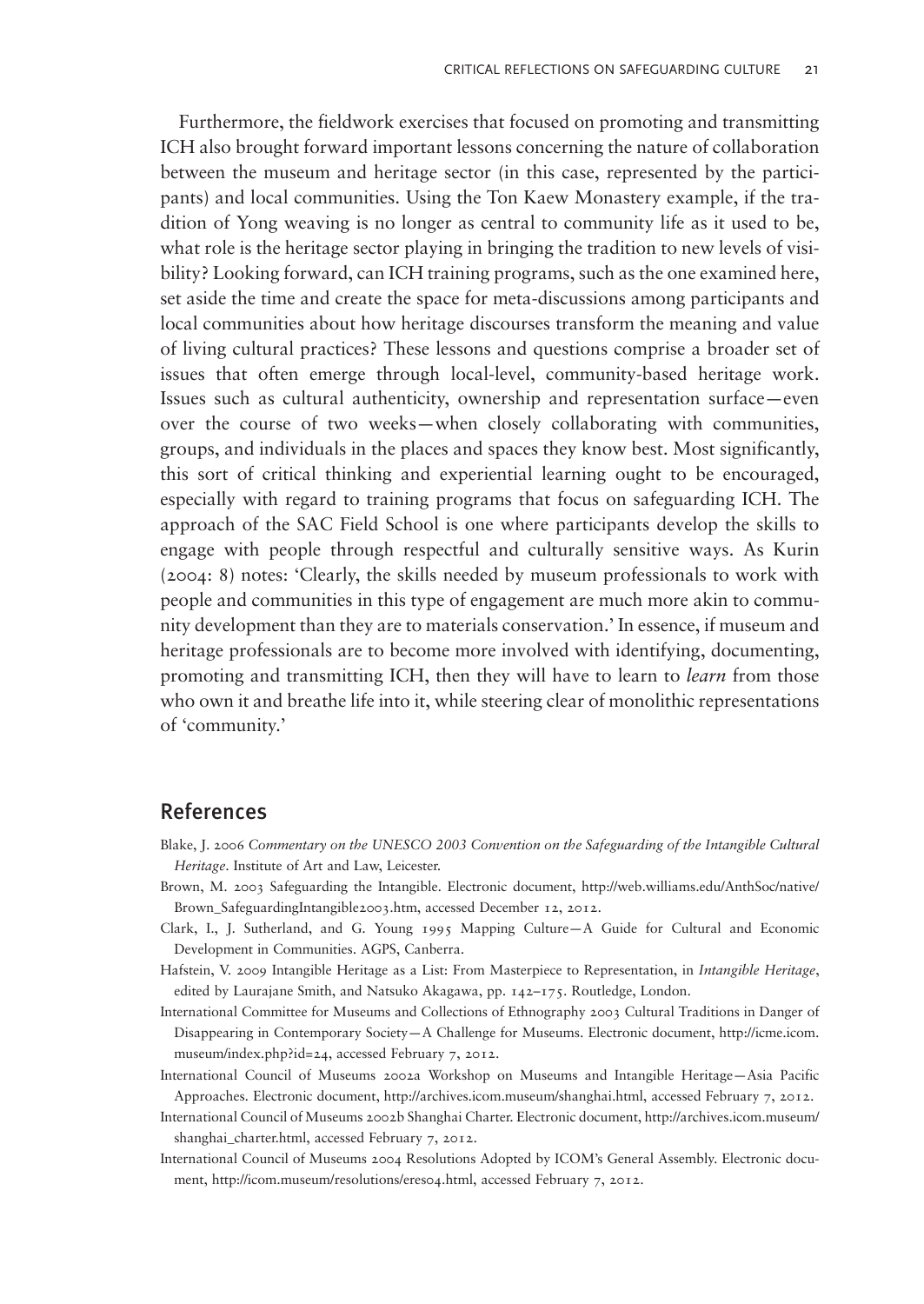<span id="page-17-0"></span>Furthermore, the fieldwork exercises that focused on promoting and transmitting ICH also brought forward important lessons concerning the nature of collaboration between the museum and heritage sector (in this case, represented by the participants) and local communities. Using the Ton Kaew Monastery example, if the tradition of Yong weaving is no longer as central to community life as it used to be, what role is the heritage sector playing in bringing the tradition to new levels of visibility? Looking forward, can ICH training programs, such as the one examined here, set aside the time and create the space for meta-discussions among participants and local communities about how heritage discourses transform the meaning and value of living cultural practices? These lessons and questions comprise a broader set of issues that often emerge through local-level, community-based heritage work. Issues such as cultural authenticity, ownership and representation surface—even over the course of two weeks—when closely collaborating with communities, groups, and individuals in the places and spaces they know best. Most significantly, this sort of critical thinking and experiential learning ought to be encouraged, especially with regard to training programs that focus on safeguarding ICH. The approach of the SAC Field School is one where participants develop the skills to engage with people through respectful and culturally sensitive ways. As [Kurin](#page-18-0) [\(2004](#page-18-0): 8) notes: 'Clearly, the skills needed by museum professionals to work with people and communities in this type of engagement are much more akin to community development than they are to materials conservation.' In essence, if museum and heritage professionals are to become more involved with identifying, documenting, promoting and transmitting ICH, then they will have to learn to learn from those who own it and breathe life into it, while steering clear of monolithic representations of 'community.'

### References

- Blake, J. 2006 Commentary on the UNESCO 2003 Convention on the Safeguarding of the Intangible Cultural Heritage. Institute of Art and Law, Leicester.
- Brown, M. 2003 Safeguarding the Intangible. Electronic document, [http://web.williams.edu/AnthSoc/native/](http://web.williams.edu/AnthSoc/native/Brown_SafeguardingIntangible2003.htm) [Brown\\_SafeguardingIntangible2003.htm](http://web.williams.edu/AnthSoc/native/Brown_SafeguardingIntangible2003.htm), accessed December 12, 2012.
- Clark, I., J. Sutherland, and G. Young 1995 Mapping Culture—A Guide for Cultural and Economic Development in Communities. AGPS, Canberra.
- Hafstein, V. 2009 Intangible Heritage as a List: From Masterpiece to Representation, in Intangible Heritage, edited by Laurajane Smith, and Natsuko Akagawa, pp. 142–175. Routledge, London.
- International Committee for Museums and Collections of Ethnography 2003 Cultural Traditions in Danger of Disappearing in Contemporary Society—A Challenge for Museums. Electronic document, [http://icme.icom.](http://icme.icom.museum/index.php?id=24) [museum/index.php?id=24](http://icme.icom.museum/index.php?id=24), accessed February 7, 2012.
- International Council of Museums 2002a Workshop on Museums and Intangible Heritage—Asia Pacific Approaches. Electronic document,<http://archives.icom.museum/shanghai.html>, accessed February 7, 2012.
- International Council of Museums 2002b Shanghai Charter. Electronic document, [http://archives.icom.museum/](http://archives.icom.museum/shanghai_charter.html) shanghai charter.html, accessed February 7, 2012.
- International Council of Museums 2004 Resolutions Adopted by ICOM's General Assembly. Electronic document, [http://icom.museum/resolutions/eres04.html,](http://icom.museum/resolutions/eres04.html) accessed February 7, 2012.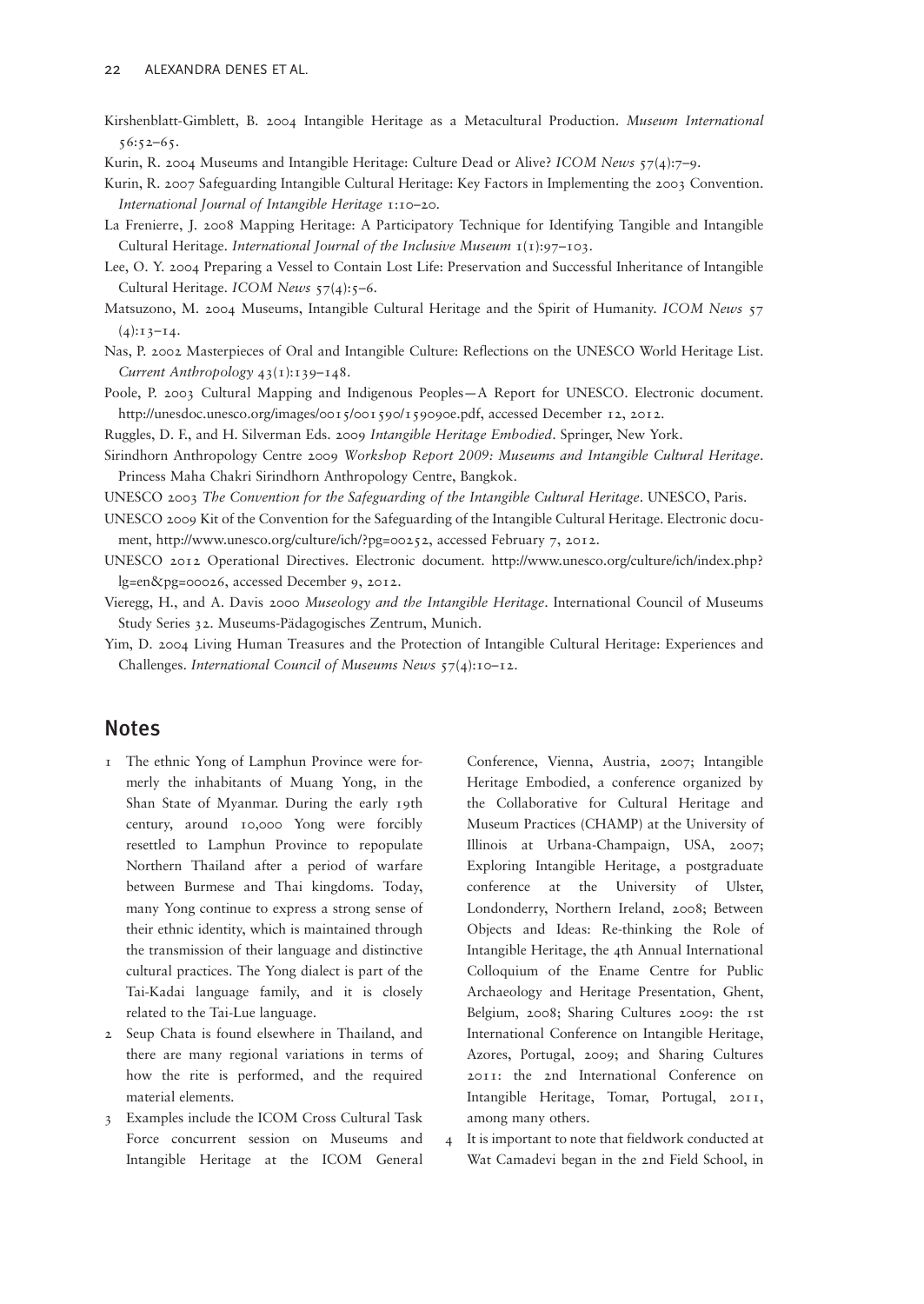<span id="page-18-0"></span>Kirshenblatt-Gimblett, B. 2004 Intangible Heritage as a Metacultural Production. Museum International 56:52–65.

Kurin, R. 2004 Museums and Intangible Heritage: Culture Dead or Alive? ICOM News 57(4):7–9.

- Kurin, R. 2007 Safeguarding Intangible Cultural Heritage: Key Factors in Implementing the 2003 Convention. International Journal of Intangible Heritage 1:10–20.
- La Frenierre, J. 2008 Mapping Heritage: A Participatory Technique for Identifying Tangible and Intangible Cultural Heritage. International Journal of the Inclusive Museum 1(1):97–103.
- Lee, O. Y. 2004 Preparing a Vessel to Contain Lost Life: Preservation and Successful Inheritance of Intangible Cultural Heritage. ICOM News 57(4):5-6.
- Matsuzono, M. 2004 Museums, Intangible Cultural Heritage and the Spirit of Humanity. ICOM News 57  $(4):13-14.$
- Nas, P. 2002 Masterpieces of Oral and Intangible Culture: Reflections on the UNESCO World Heritage List. Current Anthropology 43(1):139–148.
- Poole, P. 2003 Cultural Mapping and Indigenous Peoples—A Report for UNESCO. Electronic document. [http://unesdoc.unesco.org/images/0015/001590/159090e.pdf,](http://unesdoc.unesco.org/images/0015/001590/159090e.pdf) accessed December 12, 2012.
- Ruggles, D. F., and H. Silverman Eds. 2009 Intangible Heritage Embodied. Springer, New York.
- Sirindhorn Anthropology Centre 2009 Workshop Report 2009: Museums and Intangible Cultural Heritage. Princess Maha Chakri Sirindhorn Anthropology Centre, Bangkok.
- UNESCO 2003 The Convention for the Safeguarding of the Intangible Cultural Heritage. UNESCO, Paris.
- UNESCO 2009 Kit of the Convention for the Safeguarding of the Intangible Cultural Heritage. Electronic document,<http://www.unesco.org/culture/ich/?pg=00252>, accessed February 7, 2012.
- UNESCO 2012 Operational Directives. Electronic document. [http://www.unesco.org/culture/ich/index.php?](http://www.unesco.org/culture/ich/index.php?lg=en&pg=00026) [lg=en&pg=00026,](http://www.unesco.org/culture/ich/index.php?lg=en&pg=00026) accessed December 9, 2012.
- Vieregg, H., and A. Davis 2000 Museology and the Intangible Heritage. International Council of Museums Study Series 32. Museums-Pädagogisches Zentrum, Munich.
- Yim, D. 2004 Living Human Treasures and the Protection of Intangible Cultural Heritage: Experiences and Challenges. International Council of Museums News 57(4):10–12.

#### Notes

- 1 The ethnic Yong of Lamphun Province were formerly the inhabitants of Muang Yong, in the Shan State of Myanmar. During the early 19th century, around 10,000 Yong were forcibly resettled to Lamphun Province to repopulate Northern Thailand after a period of warfare between Burmese and Thai kingdoms. Today, many Yong continue to express a strong sense of their ethnic identity, which is maintained through the transmission of their language and distinctive cultural practices. The Yong dialect is part of the Tai-Kadai language family, and it is closely related to the Tai-Lue language.
- 2 Seup Chata is found elsewhere in Thailand, and there are many regional variations in terms of how the rite is performed, and the required material elements.
- 3 Examples include the ICOM Cross Cultural Task Force concurrent session on Museums and Intangible Heritage at the ICOM General

Conference, Vienna, Austria, 2007; Intangible Heritage Embodied, a conference organized by the Collaborative for Cultural Heritage and Museum Practices (CHAMP) at the University of Illinois at Urbana-Champaign, USA, 2007; Exploring Intangible Heritage, a postgraduate conference at the University of Ulster, Londonderry, Northern Ireland, 2008; Between Objects and Ideas: Re-thinking the Role of Intangible Heritage, the 4th Annual International Colloquium of the Ename Centre for Public Archaeology and Heritage Presentation, Ghent, Belgium, 2008; Sharing Cultures 2009: the 1st International Conference on Intangible Heritage, Azores, Portugal, 2009; and Sharing Cultures 2011: the 2nd International Conference on Intangible Heritage, Tomar, Portugal, 2011, among many others.

4 It is important to note that fieldwork conducted at Wat Camadevi began in the 2nd Field School, in